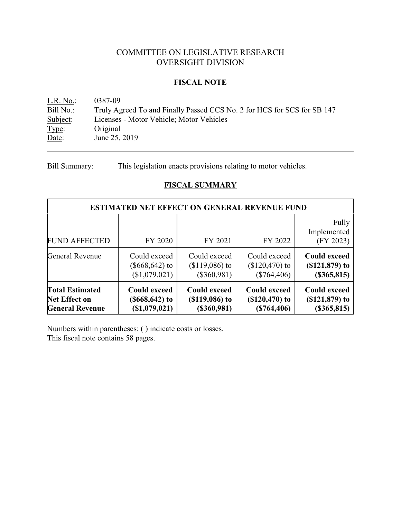## COMMITTEE ON LEGISLATIVE RESEARCH OVERSIGHT DIVISION

### **FISCAL NOTE**

<u>L.R. No.</u>: 0387-09<br>
<u>Bill No.</u>: Truly Ag Bill No.: Truly Agreed To and Finally Passed CCS No. 2 for HCS for SCS for SB 147<br>Subject: Licenses - Motor Vehicle; Motor Vehicles Licenses - Motor Vehicle; Motor Vehicles Type: Original Date: June 25, 2019

Bill Summary: This legislation enacts provisions relating to motor vehicles.

### **FISCAL SUMMARY**

|                        | <b>ESTIMATED NET EFFECT ON GENERAL REVENUE FUND</b> |                      |                     |                                   |
|------------------------|-----------------------------------------------------|----------------------|---------------------|-----------------------------------|
| <b>FUND AFFECTED</b>   | FY 2020                                             | FY 2021              | FY 2022             | Fully<br>Implemented<br>(FY 2023) |
| General Revenue        | Could exceed                                        | Could exceed         | Could exceed        | <b>Could exceed</b>               |
|                        | $(\$668,642)$ to                                    | $($119,086)$ to      | $($120,470)$ to     | $( $121, 879)$ to                 |
|                        | (\$1,079,021)                                       | $(\$360,981)$        | $(\$764,406)$       | $(\$365,815)$                     |
| <b>Total Estimated</b> | <b>Could exceed</b>                                 | <b>Could exceed</b>  | <b>Could exceed</b> | <b>Could exceed</b>               |
| <b>Net Effect on</b>   | $($668, 642)$ to                                    | $($ \$119,086 $)$ to | $( $120,470)$ to    | $( $121, 879)$ to                 |
| <b>General Revenue</b> | (\$1,079,021)                                       | (\$360,981)          | (\$764,406)         | $(\$365,815)$                     |

Numbers within parentheses: ( ) indicate costs or losses.

This fiscal note contains 58 pages.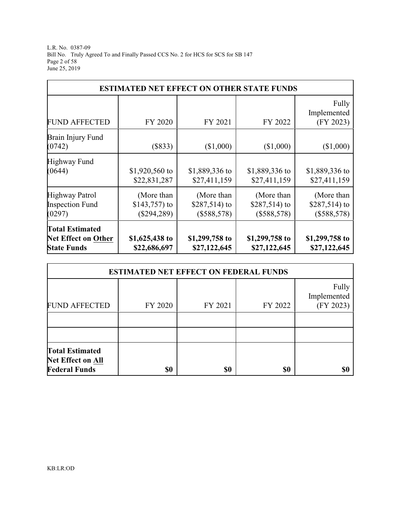L.R. No. 0387-09 Bill No. Truly Agreed To and Finally Passed CCS No. 2 for HCS for SCS for SB 147 Page 2 of 58 June 25, 2019

|                                                                            | <b>ESTIMATED NET EFFECT ON OTHER STATE FUNDS</b> |                                            |                                            |                                            |
|----------------------------------------------------------------------------|--------------------------------------------------|--------------------------------------------|--------------------------------------------|--------------------------------------------|
| <b>FUND AFFECTED</b>                                                       | FY 2020                                          | FY 2021                                    | FY 2022                                    | Fully<br>Implemented<br>(FY 2023)          |
| Brain Injury Fund<br>(0742)                                                | (\$833)                                          | (\$1,000)                                  | (\$1,000)                                  | (\$1,000)                                  |
| Highway Fund<br>(0644)                                                     | \$1,920,560 to<br>\$22,831,287                   | \$1,889,336 to<br>\$27,411,159             | \$1,889,336 to<br>\$27,411,159             | \$1,889,336 to<br>\$27,411,159             |
| Highway Patrol<br><b>Inspection Fund</b><br>(0297)                         | (More than<br>\$143,757) to<br>$(\$294,289)$     | (More than<br>\$287,514) to<br>(\$588,578) | (More than<br>\$287,514) to<br>(\$588,578) | (More than<br>\$287,514) to<br>(\$588,578) |
| <b>Total Estimated</b><br><b>Net Effect on Other</b><br><b>State Funds</b> | \$1,625,438 to<br>\$22,686,697                   | \$1,299,758 to<br>\$27,122,645             | \$1,299,758 to<br>\$27,122,645             | \$1,299,758 to<br>\$27,122,645             |

|                                                                            | <b>ESTIMATED NET EFFECT ON FEDERAL FUNDS</b> |         |         |                                   |
|----------------------------------------------------------------------------|----------------------------------------------|---------|---------|-----------------------------------|
| <b>FUND AFFECTED</b>                                                       | FY 2020                                      | FY 2021 | FY 2022 | Fully<br>Implemented<br>(FY 2023) |
|                                                                            |                                              |         |         |                                   |
|                                                                            |                                              |         |         |                                   |
| <b>Total Estimated</b><br><b>Net Effect on All</b><br><b>Federal Funds</b> | \$0                                          | \$0     | \$0     | \$0                               |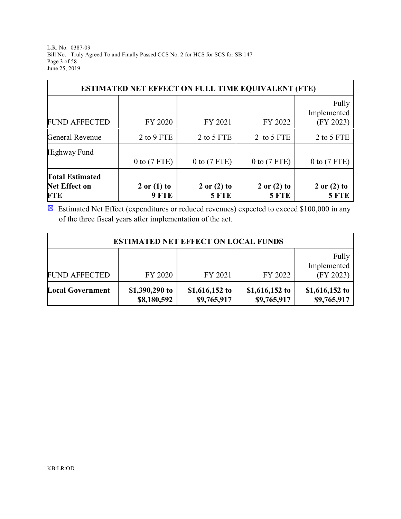L.R. No. 0387-09 Bill No. Truly Agreed To and Finally Passed CCS No. 2 for HCS for SCS for SB 147 Page 3 of 58 June 25, 2019

|                                                              | <b>ESTIMATED NET EFFECT ON FULL TIME EQUIVALENT (FTE)</b> |                                 |                                 |                                   |
|--------------------------------------------------------------|-----------------------------------------------------------|---------------------------------|---------------------------------|-----------------------------------|
| <b>FUND AFFECTED</b>                                         | FY 2020                                                   | FY 2021                         | FY 2022                         | Fully<br>Implemented<br>(FY 2023) |
| <b>General Revenue</b>                                       | 2 to 9 FTE                                                | 2 to 5 FTE                      | 2 to 5 FTE                      | 2 to 5 FTE                        |
| Highway Fund                                                 | $0$ to $(7$ FTE)                                          | $0$ to $(7$ FTE)                | $0$ to $(7$ FTE)                | $0$ to $(7$ FTE)                  |
| <b>Total Estimated</b><br><b>Net Effect on</b><br><b>FTE</b> | $2$ or $(1)$ to<br>9 FTE                                  | $2$ or $(2)$ to<br><b>5 FTE</b> | $2$ or $(2)$ to<br><b>5 FTE</b> | $2$ or $(2)$ to<br><b>5 FTE</b>   |

 $\boxtimes$  Estimated Net Effect (expenditures or reduced revenues) expected to exceed \$100,000 in any of the three fiscal years after implementation of the act.

|                         | <b>ESTIMATED NET EFFECT ON LOCAL FUNDS</b> |                               |                               |                                   |
|-------------------------|--------------------------------------------|-------------------------------|-------------------------------|-----------------------------------|
| <b>FUND AFFECTED</b>    | FY 2020                                    | FY 2021                       | FY 2022                       | Fully<br>Implemented<br>(FY 2023) |
| <b>Local Government</b> | \$1,390,290 to<br>\$8,180,592              | \$1,616,152 to<br>\$9,765,917 | \$1,616,152 to<br>\$9,765,917 | \$1,616,152 to<br>\$9,765,917     |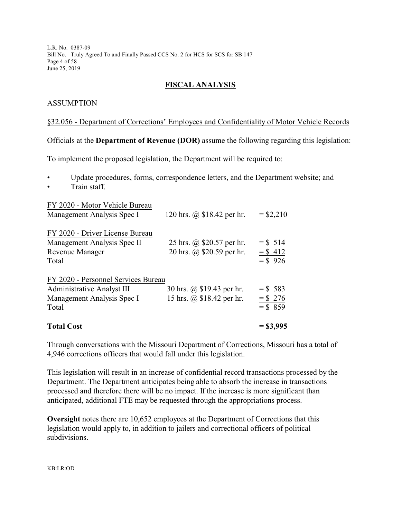L.R. No. 0387-09 Bill No. Truly Agreed To and Finally Passed CCS No. 2 for HCS for SCS for SB 147 Page 4 of 58 June 25, 2019

### **FISCAL ANALYSIS**

### ASSUMPTION

#### §32.056 - Department of Corrections' Employees and Confidentiality of Motor Vehicle Records

Officials at the **Department of Revenue (DOR)** assume the following regarding this legislation:

To implement the proposed legislation, the Department will be required to:

- Update procedures, forms, correspondence letters, and the Department website; and
- Train staff.

| FY 2020 - Motor Vehicle Bureau<br>Management Analysis Spec I                                             | 120 hrs. $\omega$ \$18.42 per hr.                      | $=$ \$2,210                           |
|----------------------------------------------------------------------------------------------------------|--------------------------------------------------------|---------------------------------------|
| FY 2020 - Driver License Bureau<br>Management Analysis Spec II<br><b>Revenue Manager</b><br>Total        | 25 hrs. @ \$20.57 per hr.<br>20 hrs. @ \$20.59 per hr. | $=$ \$ 514<br>$=$ \$ 412<br>$=$ \$926 |
| FY 2020 - Personnel Services Bureau<br>Administrative Analyst III<br>Management Analysis Spec I<br>Total | 30 hrs. @ \$19.43 per hr.<br>15 hrs. @ \$18.42 per hr. | $=$ \$ 583<br>$=$ \$276<br>$=$ \$ 859 |
| <b>Total Cost</b>                                                                                        |                                                        | $=$ \$3,995                           |

Through conversations with the Missouri Department of Corrections, Missouri has a total of 4,946 corrections officers that would fall under this legislation.

This legislation will result in an increase of confidential record transactions processed by the Department. The Department anticipates being able to absorb the increase in transactions processed and therefore there will be no impact. If the increase is more significant than anticipated, additional FTE may be requested through the appropriations process.

**Oversight** notes there are 10,652 employees at the Department of Corrections that this legislation would apply to, in addition to jailers and correctional officers of political subdivisions.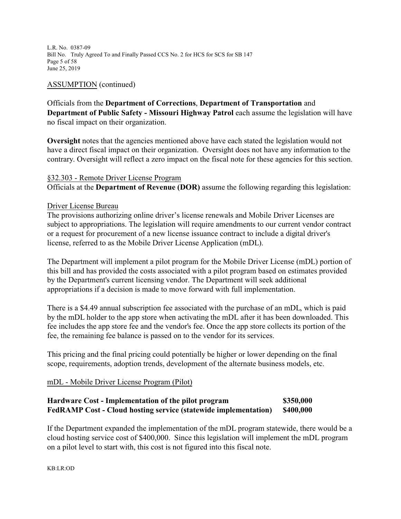L.R. No. 0387-09 Bill No. Truly Agreed To and Finally Passed CCS No. 2 for HCS for SCS for SB 147 Page 5 of 58 June 25, 2019

### ASSUMPTION (continued)

Officials from the **Department of Corrections**, **Department of Transportation** and **Department of Public Safety - Missouri Highway Patrol** each assume the legislation will have no fiscal impact on their organization.

**Oversight** notes that the agencies mentioned above have each stated the legislation would not have a direct fiscal impact on their organization. Oversight does not have any information to the contrary. Oversight will reflect a zero impact on the fiscal note for these agencies for this section.

### §32.303 - Remote Driver License Program

Officials at the **Department of Revenue (DOR)** assume the following regarding this legislation:

### Driver License Bureau

The provisions authorizing online driver's license renewals and Mobile Driver Licenses are subject to appropriations. The legislation will require amendments to our current vendor contract or a request for procurement of a new license issuance contract to include a digital driver's license, referred to as the Mobile Driver License Application (mDL).

The Department will implement a pilot program for the Mobile Driver License (mDL) portion of this bill and has provided the costs associated with a pilot program based on estimates provided by the Department's current licensing vendor. The Department will seek additional appropriations if a decision is made to move forward with full implementation.

There is a \$4.49 annual subscription fee associated with the purchase of an mDL, which is paid by the mDL holder to the app store when activating the mDL after it has been downloaded. This fee includes the app store fee and the vendor's fee. Once the app store collects its portion of the fee, the remaining fee balance is passed on to the vendor for its services.

This pricing and the final pricing could potentially be higher or lower depending on the final scope, requirements, adoption trends, development of the alternate business models, etc.

### mDL - Mobile Driver License Program (Pilot)

### **Hardware Cost - Implementation of the pilot program \$350,000 FedRAMP Cost - Cloud hosting service (statewide implementation) \$400,000**

If the Department expanded the implementation of the mDL program statewide, there would be a cloud hosting service cost of \$400,000. Since this legislation will implement the mDL program on a pilot level to start with, this cost is not figured into this fiscal note.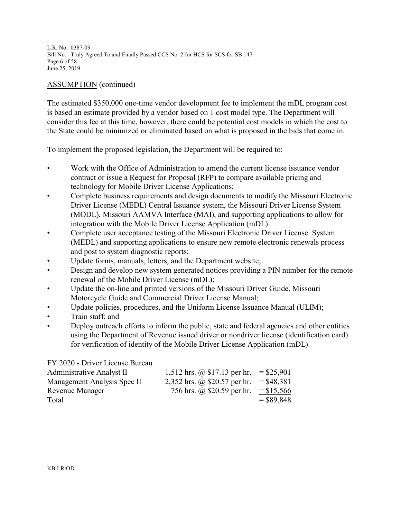L.R. No. 0387-09 Bill No. Truly Agreed To and Finally Passed CCS No. 2 for HCS for SCS for SB 147 Page 6 of 58 June 25, 2019

### ASSUMPTION (continued)

The estimated \$350,000 one-time vendor development fee to implement the mDL program cost is based an estimate provided by a vendor based on 1 cost model type. The Department will consider this fee at this time, however, there could be potential cost models in which the cost to the State could be minimized or eliminated based on what is proposed in the bids that come in.

To implement the proposed legislation, the Department will be required to:

- Work with the Office of Administration to amend the current license issuance vendor contract or issue a Request for Proposal (RFP) to compare available pricing and technology for Mobile Driver License Applications;
- Complete business requirements and design documents to modify the Missouri Electronic Driver License (MEDL) Central Issuance system, the Missouri Driver License System (MODL), Missouri AAMVA Interface (MAI), and supporting applications to allow for integration with the Mobile Driver License Application (mDL).
- Complete user acceptance testing of the Missouri Electronic Driver License System (MEDL) and supporting applications to ensure new remote electronic renewals process and post to system diagnostic reports;
- Update forms, manuals, letters, and the Department website;
- Design and develop new system generated notices providing a PIN number for the remote renewal of the Mobile Driver License (mDL);
- Update the on-line and printed versions of the Missouri Driver Guide, Missouri Motorcycle Guide and Commercial Driver License Manual;
- Update policies, procedures, and the Uniform License Issuance Manual (ULIM);
- Train staff; and
- Deploy outreach efforts to inform the public, state and federal agencies and other entities using the Department of Revenue issued driver or nondriver license (identification card) for verification of identity of the Mobile Driver License Application (mDL).

FY 2020 - Driver License Bureau

| <b>Administrative Analyst II</b> | 1,512 hrs. $\omega$ \$17.13 per hr. | $=$ \$25,901 |
|----------------------------------|-------------------------------------|--------------|
| Management Analysis Spec II      | 2,352 hrs. @ \$20.57 per hr.        | $=$ \$48,381 |
| Revenue Manager                  | 756 hrs. @ \$20.59 per hr.          | $=$ \$15,566 |
| Total                            |                                     | $=$ \$89,848 |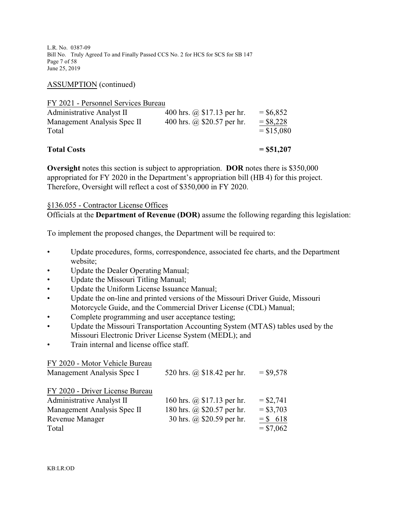L.R. No. 0387-09 Bill No. Truly Agreed To and Finally Passed CCS No. 2 for HCS for SCS for SB 147 Page 7 of 58 June 25, 2019

ASSUMPTION (continued)

| FY 2021 - Personnel Services Bureau |                             |             |
|-------------------------------------|-----------------------------|-------------|
| Administrative Analyst II           | 400 hrs. @ $$17.13$ per hr. | $=$ \$6,852 |
| Management Analysis Spec II         | 400 hrs. @ $$20.57$ per hr. | $=$ \$8,228 |

| <b>Total Costs</b> | $=$ \$51,207 |
|--------------------|--------------|

 $Total = $15,080$ 

**Oversight** notes this section is subject to appropriation. **DOR** notes there is \$350,000 appropriated for FY 2020 in the Department's appropriation bill (HB 4) for this project. Therefore, Oversight will reflect a cost of \$350,000 in FY 2020.

### §136.055 - Contractor License Offices

Officials at the **Department of Revenue (DOR)** assume the following regarding this legislation:

To implement the proposed changes, the Department will be required to:

- Update procedures, forms, correspondence, associated fee charts, and the Department website;
- Update the Dealer Operating Manual;
- Update the Missouri Titling Manual;
- Update the Uniform License Issuance Manual;
- Update the on-line and printed versions of the Missouri Driver Guide, Missouri Motorcycle Guide, and the Commercial Driver License (CDL) Manual;
- Complete programming and user acceptance testing;
- Update the Missouri Transportation Accounting System (MTAS) tables used by the Missouri Electronic Driver License System (MEDL); and
	- Train internal and license office staff.

### FY 2020 - Motor Vehicle Bureau

| Management Analysis Spec I      | 520 hrs. @ \$18.42 per hr.     | $=$ \$9,578 |
|---------------------------------|--------------------------------|-------------|
| FY 2020 - Driver License Bureau |                                |             |
| Administrative Analyst II       | 160 hrs. $(a)$ \$17.13 per hr. | $=$ \$2,741 |
| Management Analysis Spec II     | 180 hrs. @ \$20.57 per hr.     | $= $3,703$  |
| <b>Revenue Manager</b>          | 30 hrs. @ \$20.59 per hr.      | $=$ \$ 618  |
| Total                           |                                | $= $7,062$  |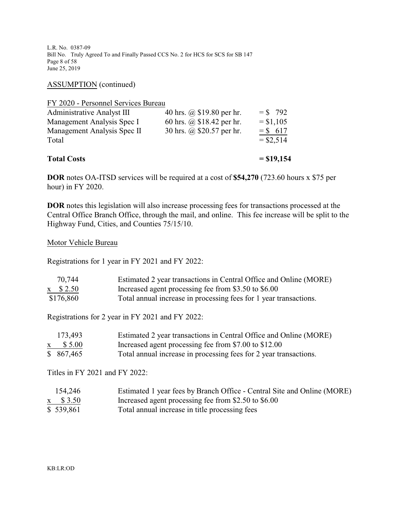L.R. No. 0387-09 Bill No. Truly Agreed To and Finally Passed CCS No. 2 for HCS for SCS for SB 147 Page 8 of 58 June 25, 2019

ASSUMPTION (continued)

| <b>Total Costs</b>                  |                           | $=$ \$19,154 |
|-------------------------------------|---------------------------|--------------|
| Total                               |                           | $= $2,514$   |
| Management Analysis Spec II         | 30 hrs. @ \$20.57 per hr. | $=$ \$ 617   |
| Management Analysis Spec I          | 60 hrs. @ \$18.42 per hr. | $= $1,105$   |
| Administrative Analyst III          | 40 hrs. @ \$19.80 per hr. | $=$ \$ 792   |
| FY 2020 - Personnel Services Bureau |                           |              |

**DOR** notes OA-ITSD services will be required at a cost of **\$54,270** (723.60 hours x \$75 per hour) in FY 2020.

**DOR** notes this legislation will also increase processing fees for transactions processed at the Central Office Branch Office, through the mail, and online. This fee increase will be split to the Highway Fund, Cities, and Counties 75/15/10.

### Motor Vehicle Bureau

Registrations for 1 year in FY 2021 and FY 2022:

| 70,744          | Estimated 2 year transactions in Central Office and Online (MORE) |
|-----------------|-------------------------------------------------------------------|
| $x \quad $2.50$ | Increased agent processing fee from \$3.50 to \$6.00              |
| \$176,860       | Total annual increase in processing fees for 1 year transactions. |

Registrations for 2 year in FY 2021 and FY 2022:

| 173,493         | Estimated 2 year transactions in Central Office and Online (MORE) |
|-----------------|-------------------------------------------------------------------|
| $x \quad $5.00$ | Increased agent processing fee from \$7.00 to \$12.00             |
| \$867,465       | Total annual increase in processing fees for 2 year transactions. |

Titles in FY 2021 and FY 2022:

| 154,246         | Estimated 1 year fees by Branch Office - Central Site and Online (MORE) |
|-----------------|-------------------------------------------------------------------------|
| $x \quad $3.50$ | Increased agent processing fee from \$2.50 to \$6.00                    |
| \$39,861        | Total annual increase in title processing fees                          |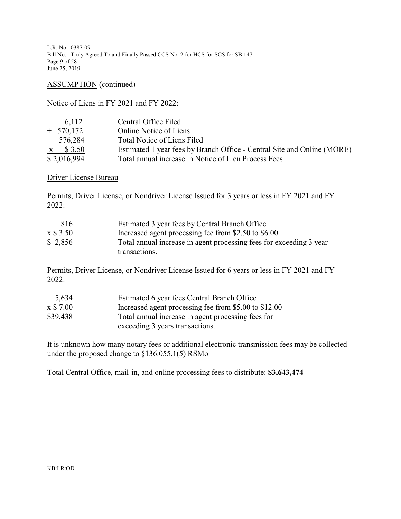L.R. No. 0387-09 Bill No. Truly Agreed To and Finally Passed CCS No. 2 for HCS for SCS for SB 147 Page 9 of 58 June 25, 2019

ASSUMPTION (continued)

Notice of Liens in FY 2021 and FY 2022:

| 6.112           | Central Office Filed                                                    |
|-----------------|-------------------------------------------------------------------------|
| $+ 570,172$     | <b>Online Notice of Liens</b>                                           |
| 576,284         | Total Notice of Liens Filed                                             |
| $x \quad $3.50$ | Estimated 1 year fees by Branch Office - Central Site and Online (MORE) |
| \$2,016,994     | Total annual increase in Notice of Lien Process Fees                    |

### Driver License Bureau

Permits, Driver License, or Nondriver License Issued for 3 years or less in FY 2021 and FY 2022:

| 816      | Estimated 3 year fees by Central Branch Office                      |
|----------|---------------------------------------------------------------------|
| x \$3.50 | Increased agent processing fee from \$2.50 to \$6.00                |
| \$2,856  | Total annual increase in agent processing fees for exceeding 3 year |
|          | transactions.                                                       |

Permits, Driver License, or Nondriver License Issued for 6 years or less in FY 2021 and FY 2022:

| 5,634                             | Estimated 6 year fees Central Branch Office           |
|-----------------------------------|-------------------------------------------------------|
| $\boldsymbol{\mathrm{x}}$ \$ 7.00 | Increased agent processing fee from \$5.00 to \$12.00 |
| \$39,438                          | Total annual increase in agent processing fees for    |
|                                   | exceeding 3 years transactions.                       |

It is unknown how many notary fees or additional electronic transmission fees may be collected under the proposed change to §136.055.1(5) RSMo

Total Central Office, mail-in, and online processing fees to distribute: **\$3,643,474**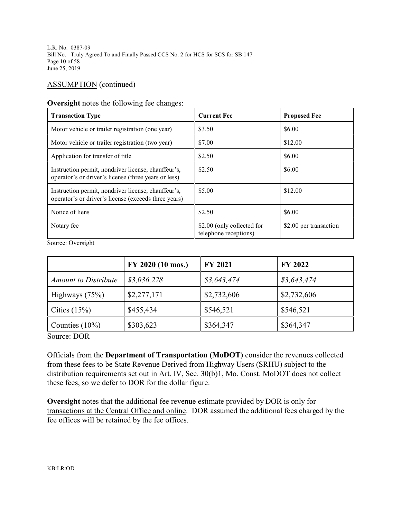L.R. No. 0387-09 Bill No. Truly Agreed To and Finally Passed CCS No. 2 for HCS for SCS for SB 147 Page 10 of 58 June 25, 2019

### ASSUMPTION (continued)

#### **Oversight** notes the following fee changes:

| <b>Transaction Type</b>                                                                                     | <b>Current Fee</b>                                  | <b>Proposed Fee</b>    |
|-------------------------------------------------------------------------------------------------------------|-----------------------------------------------------|------------------------|
| Motor vehicle or trailer registration (one year)                                                            | \$3.50                                              | \$6.00                 |
| Motor vehicle or trailer registration (two year)                                                            | \$7.00                                              | \$12.00                |
| Application for transfer of title                                                                           | \$2.50                                              | \$6.00                 |
| Instruction permit, nondriver license, chauffeur's,<br>operator's or driver's license (three years or less) | \$2.50                                              | \$6.00                 |
| Instruction permit, nondriver license, chauffeur's,<br>operator's or driver's license (exceeds three years) | \$5.00                                              | \$12.00                |
| Notice of liens                                                                                             | \$2.50                                              | \$6.00                 |
| Notary fee                                                                                                  | \$2.00 (only collected for<br>telephone receptions) | \$2.00 per transaction |

Source: Oversight

|                             | FY 2020 (10 mos.) | <b>FY 2021</b> | FY 2022     |
|-----------------------------|-------------------|----------------|-------------|
| <b>Amount to Distribute</b> | \$3,036,228       | \$3,643,474    | \$3,643,474 |
| Highways $(75%)$            | \$2,277,171       | \$2,732,606    | \$2,732,606 |
| Cities $(15%)$              | \$455,434         | \$546,521      | \$546,521   |
| Counties $(10\%)$           | \$303,623         | \$364,347      | \$364,347   |

Source: DOR

Officials from the **Department of Transportation (MoDOT)** consider the revenues collected from these fees to be State Revenue Derived from Highway Users (SRHU) subject to the distribution requirements set out in Art. IV, Sec. 30(b)1, Mo. Const. MoDOT does not collect these fees, so we defer to DOR for the dollar figure.

**Oversight** notes that the additional fee revenue estimate provided by DOR is only for transactions at the Central Office and online. DOR assumed the additional fees charged by the fee offices will be retained by the fee offices.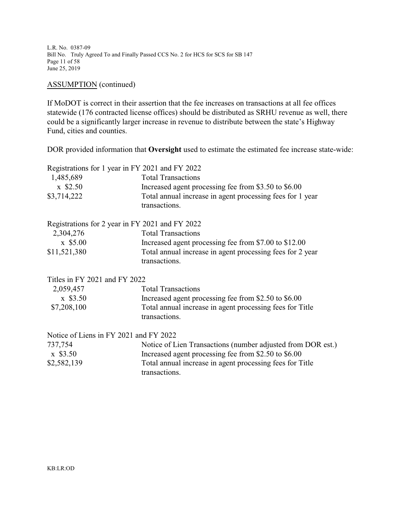L.R. No. 0387-09 Bill No. Truly Agreed To and Finally Passed CCS No. 2 for HCS for SCS for SB 147 Page 11 of 58 June 25, 2019

ASSUMPTION (continued)

If MoDOT is correct in their assertion that the fee increases on transactions at all fee offices statewide (176 contracted license offices) should be distributed as SRHU revenue as well, there could be a significantly larger increase in revenue to distribute between the state's Highway Fund, cities and counties.

DOR provided information that **Oversight** used to estimate the estimated fee increase state-wide:

| Registrations for 1 year in FY 2021 and FY 2022 |                                                                            |  |
|-------------------------------------------------|----------------------------------------------------------------------------|--|
| 1,485,689                                       | <b>Total Transactions</b>                                                  |  |
| $x$ \$2.50                                      | Increased agent processing fee from \$3.50 to \$6.00                       |  |
| \$3,714,222                                     | Total annual increase in agent processing fees for 1 year<br>transactions. |  |
| Registrations for 2 year in FY 2021 and FY 2022 |                                                                            |  |
| 2,304,276                                       | <b>Total Transactions</b>                                                  |  |
| $x$ \$5.00                                      | Increased agent processing fee from \$7.00 to \$12.00                      |  |
| \$11,521,380                                    | Total annual increase in agent processing fees for 2 year<br>transactions. |  |
| Titles in FY 2021 and FY 2022                   |                                                                            |  |
| 2,059,457                                       | <b>Total Transactions</b>                                                  |  |
| $x$ \$3.50                                      | Increased agent processing fee from \$2.50 to \$6.00                       |  |
| \$7,208,100                                     | Total annual increase in agent processing fees for Title<br>transactions.  |  |
| Notice of Liens in FY 2021 and FY 2022          |                                                                            |  |
| 737,754                                         | Notice of Lien Transactions (number adjusted from DOR est.)                |  |
| $x$ \$3.50                                      | Increased agent processing fee from \$2.50 to \$6.00                       |  |
| \$2,582,139                                     | Total annual increase in agent processing fees for Title<br>transactions.  |  |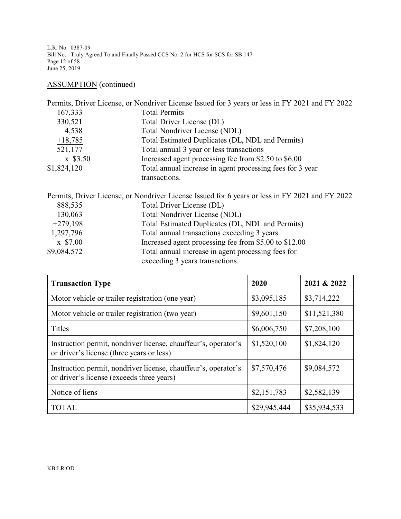L.R. No. 0387-09 Bill No. Truly Agreed To and Finally Passed CCS No. 2 for HCS for SCS for SB 147 Page 12 of 58 June 25, 2019

# ASSUMPTION (continued)

|             | Permits, Driver License, or Nondriver License Issued for 3 years or less in FY 2021 and FY 2022 |
|-------------|-------------------------------------------------------------------------------------------------|
| 167,333     | <b>Total Permits</b>                                                                            |
| 330,521     | Total Driver License (DL)                                                                       |
| 4,538       | Total Nondriver License (NDL)                                                                   |
| $+18,785$   | Total Estimated Duplicates (DL, NDL and Permits)                                                |
| 521,177     | Total annual 3 year or less transactions                                                        |
| $x$ \$3.50  | Increased agent processing fee from \$2.50 to \$6.00                                            |
| \$1,824,120 | Total annual increase in agent processing fees for 3 year<br>transactions.                      |

|             | Permits, Driver License, or Nondriver License Issued for 6 years or less in FY 2021 and FY 2022 |
|-------------|-------------------------------------------------------------------------------------------------|
| 888,535     | Total Driver License (DL)                                                                       |
| 130,063     | <b>Total Nondriver License (NDL)</b>                                                            |
| $+279,198$  | Total Estimated Duplicates (DL, NDL and Permits)                                                |
| 1,297,796   | Total annual transactions exceeding 3 years                                                     |
| $x$ \$7.00  | Increased agent processing fee from \$5.00 to \$12.00                                           |
| \$9,084,572 | Total annual increase in agent processing fees for                                              |
|             | exceeding 3 years transactions.                                                                 |

| <b>Transaction Type</b>                                                                                     | 2020         | 2021 & 2022  |
|-------------------------------------------------------------------------------------------------------------|--------------|--------------|
| Motor vehicle or trailer registration (one year)                                                            | \$3,095,185  | \$3,714,222  |
| Motor vehicle or trailer registration (two year)                                                            | \$9,601,150  | \$11,521,380 |
| <b>Titles</b>                                                                                               | \$6,006,750  | \$7,208,100  |
| Instruction permit, nondriver license, chauffeur's, operator's<br>or driver's license (three years or less) | \$1,520,100  | \$1,824,120  |
| Instruction permit, nondriver license, chauffeur's, operator's<br>or driver's license (exceeds three years) | \$7,570,476  | \$9,084,572  |
| Notice of liens                                                                                             | \$2,151,783  | \$2,582,139  |
| <b>TOTAL</b>                                                                                                | \$29,945,444 | \$35,934,533 |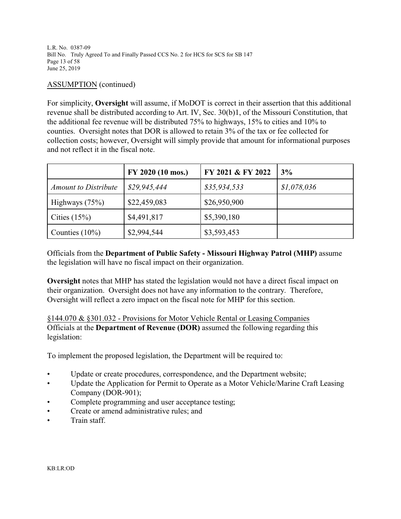L.R. No. 0387-09 Bill No. Truly Agreed To and Finally Passed CCS No. 2 for HCS for SCS for SB 147 Page 13 of 58 June 25, 2019

### ASSUMPTION (continued)

For simplicity, **Oversight** will assume, if MoDOT is correct in their assertion that this additional revenue shall be distributed according to Art. IV, Sec. 30(b)1, of the Missouri Constitution, that the additional fee revenue will be distributed 75% to highways, 15% to cities and 10% to counties. Oversight notes that DOR is allowed to retain 3% of the tax or fee collected for collection costs; however, Oversight will simply provide that amount for informational purposes and not reflect it in the fiscal note.

|                             | FY 2020 (10 mos.) | FY 2021 & FY 2022 | 3%          |
|-----------------------------|-------------------|-------------------|-------------|
| <b>Amount to Distribute</b> | \$29,945,444      | \$35,934,533      | \$1,078,036 |
| Highways $(75%)$            | \$22,459,083      | \$26,950,900      |             |
| Cities $(15%)$              | \$4,491,817       | \$5,390,180       |             |
| Counties $(10\%)$           | \$2,994,544       | \$3,593,453       |             |

Officials from the **Department of Public Safety - Missouri Highway Patrol (MHP)** assume the legislation will have no fiscal impact on their organization.

**Oversight** notes that MHP has stated the legislation would not have a direct fiscal impact on their organization. Oversight does not have any information to the contrary. Therefore, Oversight will reflect a zero impact on the fiscal note for MHP for this section.

§144.070 & §301.032 - Provisions for Motor Vehicle Rental or Leasing Companies Officials at the **Department of Revenue (DOR)** assumed the following regarding this legislation:

To implement the proposed legislation, the Department will be required to:

- Update or create procedures, correspondence, and the Department website;
- Update the Application for Permit to Operate as a Motor Vehicle/Marine Craft Leasing Company (DOR-901);
- Complete programming and user acceptance testing;
- Create or amend administrative rules; and
- Train staff.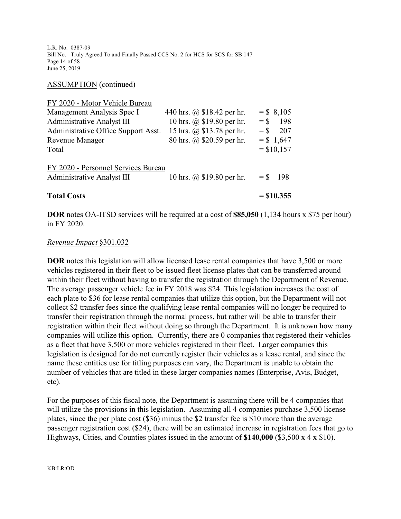L.R. No. 0387-09 Bill No. Truly Agreed To and Finally Passed CCS No. 2 for HCS for SCS for SB 147 Page 14 of 58 June 25, 2019

ASSUMPTION (continued)

| <b>Total Costs</b>                                                       |                                                        | $=$ \$10,355                |
|--------------------------------------------------------------------------|--------------------------------------------------------|-----------------------------|
| FY 2020 - Personnel Services Bureau<br><b>Administrative Analyst III</b> | 10 hrs. @ \$19.80 per hr.                              | $=$ \$ 198                  |
| Total                                                                    |                                                        | $=$ \$10,157                |
| Administrative Office Support Asst.<br><b>Revenue Manager</b>            | 15 hrs. @ \$13.78 per hr.<br>80 hrs. @ \$20.59 per hr. | 207<br>$=$ \$<br>$= $1,647$ |
| <b>Administrative Analyst III</b>                                        | 10 hrs. @ \$19.80 per hr.                              | $=$ \$<br>198               |
| Management Analysis Spec I                                               | 440 hrs. @ \$18.42 per hr.                             | $=$ \$ 8,105                |
| FY 2020 - Motor Vehicle Bureau                                           |                                                        |                             |

**DOR** notes OA-ITSD services will be required at a cost of **\$85,050** (1,134 hours x \$75 per hour) in FY 2020.

### *Revenue Impact* §301.032

**DOR** notes this legislation will allow licensed lease rental companies that have 3,500 or more vehicles registered in their fleet to be issued fleet license plates that can be transferred around within their fleet without having to transfer the registration through the Department of Revenue. The average passenger vehicle fee in FY 2018 was \$24. This legislation increases the cost of each plate to \$36 for lease rental companies that utilize this option, but the Department will not collect \$2 transfer fees since the qualifying lease rental companies will no longer be required to transfer their registration through the normal process, but rather will be able to transfer their registration within their fleet without doing so through the Department. It is unknown how many companies will utilize this option. Currently, there are 0 companies that registered their vehicles as a fleet that have 3,500 or more vehicles registered in their fleet. Larger companies this legislation is designed for do not currently register their vehicles as a lease rental, and since the name these entities use for titling purposes can vary, the Department is unable to obtain the number of vehicles that are titled in these larger companies names (Enterprise, Avis, Budget, etc).

For the purposes of this fiscal note, the Department is assuming there will be 4 companies that will utilize the provisions in this legislation. Assuming all 4 companies purchase 3,500 license plates, since the per plate cost (\$36) minus the \$2 transfer fee is \$10 more than the average passenger registration cost (\$24), there will be an estimated increase in registration fees that go to Highways, Cities, and Counties plates issued in the amount of **\$140,000** (\$3,500 x 4 x \$10).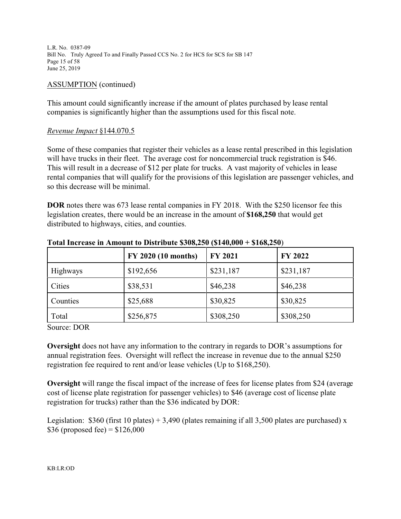L.R. No. 0387-09 Bill No. Truly Agreed To and Finally Passed CCS No. 2 for HCS for SCS for SB 147 Page 15 of 58 June 25, 2019

### ASSUMPTION (continued)

This amount could significantly increase if the amount of plates purchased by lease rental companies is significantly higher than the assumptions used for this fiscal note.

### *Revenue Impact* §144.070.5

Some of these companies that register their vehicles as a lease rental prescribed in this legislation will have trucks in their fleet. The average cost for noncommercial truck registration is \$46. This will result in a decrease of \$12 per plate for trucks. A vast majority of vehicles in lease rental companies that will qualify for the provisions of this legislation are passenger vehicles, and so this decrease will be minimal.

**DOR** notes there was 673 lease rental companies in FY 2018. With the \$250 licensor fee this legislation creates, there would be an increase in the amount of **\$168,250** that would get distributed to highways, cities, and counties.

|                 | <b>FY 2020 (10 months)</b> | <b>FY 2021</b> | <b>FY 2022</b> |
|-----------------|----------------------------|----------------|----------------|
| <b>Highways</b> | \$192,656                  | \$231,187      | \$231,187      |
| Cities          | \$38,531                   | \$46,238       | \$46,238       |
| Counties        | \$25,688                   | \$30,825       | \$30,825       |
| Total           | \$256,875                  | \$308,250      | \$308,250      |

### **Total Increase in Amount to Distribute \$308,250 (\$140,000 + \$168,250**)

Source: DOR

**Oversight** does not have any information to the contrary in regards to DOR's assumptions for annual registration fees. Oversight will reflect the increase in revenue due to the annual \$250 registration fee required to rent and/or lease vehicles (Up to \$168,250).

**Oversight** will range the fiscal impact of the increase of fees for license plates from \$24 (average cost of license plate registration for passenger vehicles) to \$46 (average cost of license plate registration for trucks) rather than the \$36 indicated by DOR:

Legislation: \$360 (first 10 plates) + 3,490 (plates remaining if all 3,500 plates are purchased) x \$36 (proposed fee) =  $$126,000$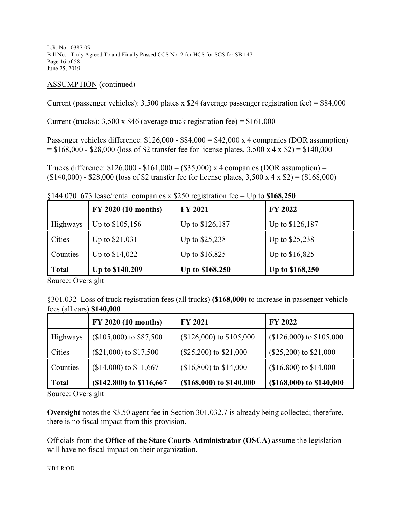L.R. No. 0387-09 Bill No. Truly Agreed To and Finally Passed CCS No. 2 for HCS for SCS for SB 147 Page 16 of 58 June 25, 2019

### ASSUMPTION (continued)

Current (passenger vehicles): 3,500 plates x \$24 (average passenger registration fee) = \$84,000

Current (trucks):  $3,500 \times $46$  (average truck registration fee) = \$161,000

Passenger vehicles difference:  $$126,000 - $84,000 = $42,000 \text{ x } 4$  companies (DOR assumption)  $= $168,000 - $28,000$  (loss of \$2 transfer fee for license plates, 3,500 x 4 x \$2) = \$140,000

Trucks difference:  $$126,000 - $161,000 = ($35,000) \times 4$  companies (DOR assumption) =  $($140,000) - $28,000$  (loss of \$2 transfer fee for license plates, 3,500 x 4 x \$2) = (\$168,000)

§144.070 673 lease/rental companies x \$250 registration fee = Up to **\$168,250**

|                 | <b>FY 2020 (10 months)</b> | <b>FY 2021</b>  | <b>FY 2022</b>  |
|-----------------|----------------------------|-----------------|-----------------|
| <b>Highways</b> | Up to \$105,156            | Up to \$126,187 | Up to \$126,187 |
| Cities          | Up to \$21,031             | Up to \$25,238  | Up to \$25,238  |
| Counties        | Up to \$14,022             | Up to \$16,825  | Up to \$16,825  |
| <b>Total</b>    | Up to \$140,209            | Up to \$168,250 | Up to \$168,250 |

Source: Oversight

§301.032 Loss of truck registration fees (all trucks) **(\$168,000)** to increase in passenger vehicle fees (all cars) **\$140,000**

|              | FY 2020 (10 months)         | <b>FY 2021</b>             | <b>FY 2022</b>             |
|--------------|-----------------------------|----------------------------|----------------------------|
| Highways     | $($105,000)$ to \$87,500    | $($126,000)$ to $$105,000$ | $($126,000)$ to $$105,000$ |
| Cities       | $(\$21,000)$ to $$17,500$   | $(\$25,200)$ to $\$21,000$ | $(\$25,200)$ to $\$21,000$ |
| Counties     | $($14,000)$ to $$11,667$    | $($16,800)$ to $$14,000$   | $($16,800)$ to $$14,000$   |
| <b>Total</b> | $($ \$142,800) to \$116,667 | (\$168,000) to \$140,000   | $($168,000)$ to $$140,000$ |

Source: Oversight

**Oversight** notes the \$3.50 agent fee in Section 301.032.7 is already being collected; therefore, there is no fiscal impact from this provision.

Officials from the **Office of the State Courts Administrator (OSCA)** assume the legislation will have no fiscal impact on their organization.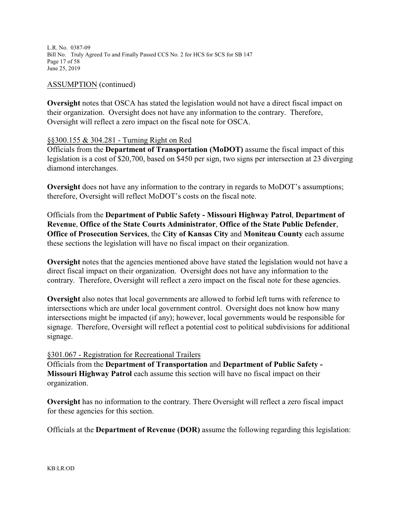L.R. No. 0387-09 Bill No. Truly Agreed To and Finally Passed CCS No. 2 for HCS for SCS for SB 147 Page 17 of 58 June 25, 2019

### ASSUMPTION (continued)

**Oversight** notes that OSCA has stated the legislation would not have a direct fiscal impact on their organization. Oversight does not have any information to the contrary. Therefore, Oversight will reflect a zero impact on the fiscal note for OSCA.

### §§300.155 & 304.281 - Turning Right on Red

Officials from the **Department of Transportation (MoDOT)** assume the fiscal impact of this legislation is a cost of \$20,700, based on \$450 per sign, two signs per intersection at 23 diverging diamond interchanges.

**Oversight** does not have any information to the contrary in regards to MoDOT's assumptions; therefore, Oversight will reflect MoDOT's costs on the fiscal note.

Officials from the **Department of Public Safety - Missouri Highway Patrol**, **Department of Revenue**, **Office of the State Courts Administrator**, **Office of the State Public Defender**, **Office of Prosecution Services**, the **City of Kansas City** and **Moniteau County** each assume these sections the legislation will have no fiscal impact on their organization.

**Oversight** notes that the agencies mentioned above have stated the legislation would not have a direct fiscal impact on their organization. Oversight does not have any information to the contrary. Therefore, Oversight will reflect a zero impact on the fiscal note for these agencies.

**Oversight** also notes that local governments are allowed to forbid left turns with reference to intersections which are under local government control. Oversight does not know how many intersections might be impacted (if any); however, local governments would be responsible for signage. Therefore, Oversight will reflect a potential cost to political subdivisions for additional signage.

### §301.067 - Registration for Recreational Trailers

Officials from the **Department of Transportation** and **Department of Public Safety - Missouri Highway Patrol** each assume this section will have no fiscal impact on their organization.

**Oversight** has no information to the contrary. There Oversight will reflect a zero fiscal impact for these agencies for this section.

Officials at the **Department of Revenue (DOR)** assume the following regarding this legislation: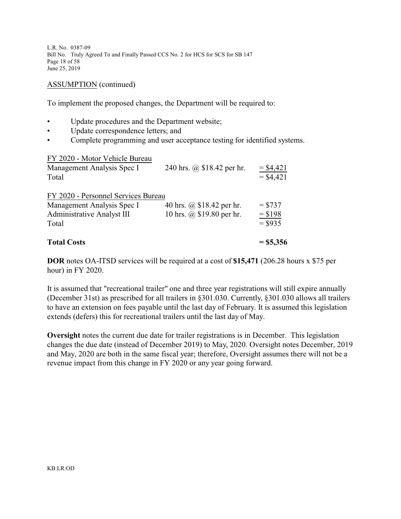L.R. No. 0387-09 Bill No. Truly Agreed To and Finally Passed CCS No. 2 for HCS for SCS for SB 147 Page 18 of 58 June 25, 2019

### ASSUMPTION (continued)

To implement the proposed changes, the Department will be required to:

- Update procedures and the Department website;
- Update correspondence letters; and
- Complete programming and user acceptance testing for identified systems.

FY 2020 - Motor Vehicle Bureau Management Analysis Spec I 240 hrs.  $\omega$  \$18.42 per hr. = \$4,421 Total  $= $4,421$ FY 2020 - Personnel Services Bureau Management Analysis Spec I 40 hrs. @ \$18.42 per hr.  $=$  \$737 Administrative Analyst III 10 hrs. @ \$19.80 per hr.  $= $198$ Total  $= $935$ **Total Costs = \$5,356**

**DOR** notes OA-ITSD services will be required at a cost of **\$15,471** (206.28 hours x \$75 per hour) in FY 2020.

It is assumed that "recreational trailer" one and three year registrations will still expire annually (December 31st) as prescribed for all trailers in §301.030. Currently, §301.030 allows all trailers to have an extension on fees payable until the last day of February. It is assumed this legislation extends (defers) this for recreational trailers until the last day of May.

**Oversight** notes the current due date for trailer registrations is in December. This legislation changes the due date (instead of December 2019) to May, 2020. Oversight notes December, 2019 and May, 2020 are both in the same fiscal year; therefore, Oversight assumes there will not be a revenue impact from this change in FY 2020 or any year going forward.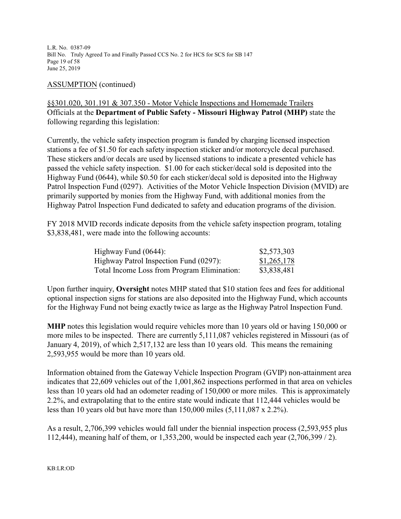L.R. No. 0387-09 Bill No. Truly Agreed To and Finally Passed CCS No. 2 for HCS for SCS for SB 147 Page 19 of 58 June 25, 2019

### ASSUMPTION (continued)

§§301.020, 301.191 & 307.350 - Motor Vehicle Inspections and Homemade Trailers Officials at the **Department of Public Safety - Missouri Highway Patrol (MHP)** state the following regarding this legislation:

Currently, the vehicle safety inspection program is funded by charging licensed inspection stations a fee of \$1.50 for each safety inspection sticker and/or motorcycle decal purchased. These stickers and/or decals are used by licensed stations to indicate a presented vehicle has passed the vehicle safety inspection. \$1.00 for each sticker/decal sold is deposited into the Highway Fund (0644), while \$0.50 for each sticker/decal sold is deposited into the Highway Patrol Inspection Fund (0297). Activities of the Motor Vehicle Inspection Division (MVID) are primarily supported by monies from the Highway Fund, with additional monies from the Highway Patrol Inspection Fund dedicated to safety and education programs of the division.

FY 2018 MVID records indicate deposits from the vehicle safety inspection program, totaling \$3,838,481, were made into the following accounts:

| Highway Fund $(0644)$ :                     | \$2,573,303 |
|---------------------------------------------|-------------|
| Highway Patrol Inspection Fund (0297):      | \$1,265,178 |
| Total Income Loss from Program Elimination: | \$3,838,481 |

Upon further inquiry, **Oversight** notes MHP stated that \$10 station fees and fees for additional optional inspection signs for stations are also deposited into the Highway Fund, which accounts for the Highway Fund not being exactly twice as large as the Highway Patrol Inspection Fund.

**MHP** notes this legislation would require vehicles more than 10 years old or having 150,000 or more miles to be inspected. There are currently 5,111,087 vehicles registered in Missouri (as of January 4, 2019), of which 2,517,132 are less than 10 years old. This means the remaining 2,593,955 would be more than 10 years old.

Information obtained from the Gateway Vehicle Inspection Program (GVIP) non-attainment area indicates that 22,609 vehicles out of the 1,001,862 inspections performed in that area on vehicles less than 10 years old had an odometer reading of 150,000 or more miles. This is approximately 2.2%, and extrapolating that to the entire state would indicate that 112,444 vehicles would be less than 10 years old but have more than 150,000 miles (5,111,087 x 2.2%).

As a result, 2,706,399 vehicles would fall under the biennial inspection process (2,593,955 plus 112,444), meaning half of them, or 1,353,200, would be inspected each year (2,706,399 / 2).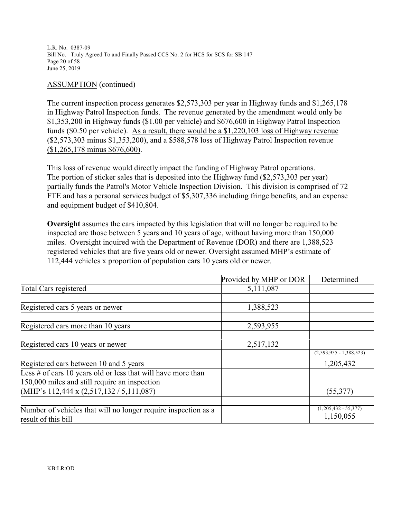L.R. No. 0387-09 Bill No. Truly Agreed To and Finally Passed CCS No. 2 for HCS for SCS for SB 147 Page 20 of 58 June 25, 2019

### ASSUMPTION (continued)

The current inspection process generates \$2,573,303 per year in Highway funds and \$1,265,178 in Highway Patrol Inspection funds. The revenue generated by the amendment would only be \$1,353,200 in Highway funds (\$1.00 per vehicle) and \$676,600 in Highway Patrol Inspection funds (\$0.50 per vehicle). As a result, there would be a \$1,220,103 loss of Highway revenue (\$2,573,303 minus \$1,353,200), and a \$588,578 loss of Highway Patrol Inspection revenue (\$1,265,178 minus \$676,600).

This loss of revenue would directly impact the funding of Highway Patrol operations. The portion of sticker sales that is deposited into the Highway fund (\$2,573,303 per year) partially funds the Patrol's Motor Vehicle Inspection Division. This division is comprised of 72 FTE and has a personal services budget of \$5,307,336 including fringe benefits, and an expense and equipment budget of \$410,804.

**Oversight** assumes the cars impacted by this legislation that will no longer be required to be inspected are those between 5 years and 10 years of age, without having more than 150,000 miles. Oversight inquired with the Department of Revenue (DOR) and there are 1,388,523 registered vehicles that are five years old or newer. Oversight assumed MHP's estimate of 112,444 vehicles x proportion of population cars 10 years old or newer.

|                                                                 | Provided by MHP or DOR | Determined                          |
|-----------------------------------------------------------------|------------------------|-------------------------------------|
| <b>Total Cars registered</b>                                    | 5,111,087              |                                     |
|                                                                 |                        |                                     |
| Registered cars 5 years or newer                                | 1,388,523              |                                     |
|                                                                 |                        |                                     |
| Registered cars more than 10 years                              | 2,593,955              |                                     |
|                                                                 |                        |                                     |
| Registered cars 10 years or newer                               | 2,517,132              |                                     |
|                                                                 |                        | $(2,593,955 - 1,388,523)$           |
| Registered cars between 10 and 5 years                          |                        | 1,205,432                           |
| Less $\#$ of cars 10 years old or less that will have more than |                        |                                     |
| 150,000 miles and still require an inspection                   |                        |                                     |
| $(MHP's 112,444 \times (2,517,132 / 5,111,087))$                |                        | (55,377)                            |
|                                                                 |                        |                                     |
| Number of vehicles that will no longer require inspection as a  |                        | $(1,205,432 - 55,377)$<br>1,150,055 |
| result of this bill                                             |                        |                                     |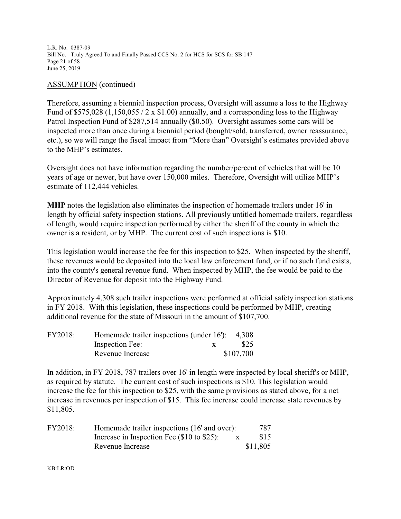L.R. No. 0387-09 Bill No. Truly Agreed To and Finally Passed CCS No. 2 for HCS for SCS for SB 147 Page 21 of 58 June 25, 2019

### ASSUMPTION (continued)

Therefore, assuming a biennial inspection process, Oversight will assume a loss to the Highway Fund of \$575,028 (1,150,055 / 2 x \$1.00) annually, and a corresponding loss to the Highway Patrol Inspection Fund of \$287,514 annually (\$0.50). Oversight assumes some cars will be inspected more than once during a biennial period (bought/sold, transferred, owner reassurance, etc.), so we will range the fiscal impact from "More than" Oversight's estimates provided above to the MHP's estimates.

Oversight does not have information regarding the number/percent of vehicles that will be 10 years of age or newer, but have over 150,000 miles. Therefore, Oversight will utilize MHP's estimate of 112,444 vehicles.

**MHP** notes the legislation also eliminates the inspection of homemade trailers under 16' in length by official safety inspection stations. All previously untitled homemade trailers, regardless of length, would require inspection performed by either the sheriff of the county in which the owner is a resident, or by MHP. The current cost of such inspections is \$10.

This legislation would increase the fee for this inspection to \$25. When inspected by the sheriff, these revenues would be deposited into the local law enforcement fund, or if no such fund exists, into the county's general revenue fund. When inspected by MHP, the fee would be paid to the Director of Revenue for deposit into the Highway Fund.

Approximately 4,308 such trailer inspections were performed at official safety inspection stations in FY 2018. With this legislation, these inspections could be performed by MHP, creating additional revenue for the state of Missouri in the amount of \$107,700.

| <b>FY2018:</b> | Homemade trailer inspections (under $16$ ): 4,308 |           |
|----------------|---------------------------------------------------|-----------|
|                | Inspection Fee:                                   | \$25      |
|                | Revenue Increase                                  | \$107,700 |

In addition, in FY 2018, 787 trailers over 16' in length were inspected by local sheriff's or MHP, as required by statute. The current cost of such inspections is \$10. This legislation would increase the fee for this inspection to \$25, with the same provisions as stated above, for a net increase in revenues per inspection of \$15. This fee increase could increase state revenues by \$11,805.

| FY2018: | Homemade trailer inspections (16' and over):    |              | 787      |
|---------|-------------------------------------------------|--------------|----------|
|         | Increase in Inspection Fee $(\$10$ to $\$25$ ): | $\mathbf{X}$ | \$15     |
|         | Revenue Increase                                |              | \$11,805 |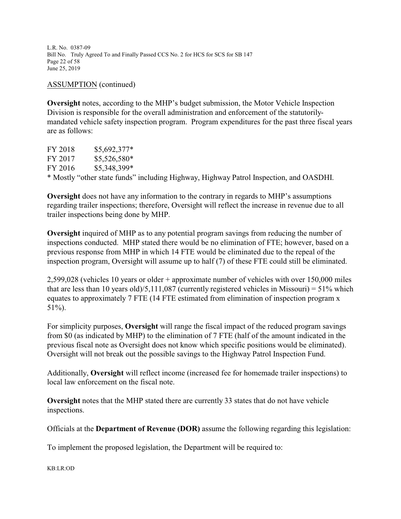L.R. No. 0387-09 Bill No. Truly Agreed To and Finally Passed CCS No. 2 for HCS for SCS for SB 147 Page 22 of 58 June 25, 2019

### ASSUMPTION (continued)

**Oversight** notes, according to the MHP's budget submission, the Motor Vehicle Inspection Division is responsible for the overall administration and enforcement of the statutorilymandated vehicle safety inspection program. Program expenditures for the past three fiscal years are as follows:

FY 2018 \$5,692,377\* FY 2017 \$5,526,580\* FY 2016 \$5,348,399\* \* Mostly "other state funds" including Highway, Highway Patrol Inspection, and OASDHI.

**Oversight** does not have any information to the contrary in regards to MHP's assumptions regarding trailer inspections; therefore, Oversight will reflect the increase in revenue due to all trailer inspections being done by MHP.

**Oversight** inquired of MHP as to any potential program savings from reducing the number of inspections conducted. MHP stated there would be no elimination of FTE; however, based on a previous response from MHP in which 14 FTE would be eliminated due to the repeal of the inspection program, Oversight will assume up to half (7) of these FTE could still be eliminated.

2,599,028 (vehicles 10 years or older + approximate number of vehicles with over 150,000 miles that are less than 10 years old)/5,111,087 (currently registered vehicles in Missouri) =  $51\%$  which equates to approximately 7 FTE (14 FTE estimated from elimination of inspection program x 51%).

For simplicity purposes, **Oversight** will range the fiscal impact of the reduced program savings from \$0 (as indicated by MHP) to the elimination of 7 FTE (half of the amount indicated in the previous fiscal note as Oversight does not know which specific positions would be eliminated). Oversight will not break out the possible savings to the Highway Patrol Inspection Fund.

Additionally, **Oversight** will reflect income (increased fee for homemade trailer inspections) to local law enforcement on the fiscal note.

**Oversight** notes that the MHP stated there are currently 33 states that do not have vehicle inspections.

Officials at the **Department of Revenue (DOR)** assume the following regarding this legislation:

To implement the proposed legislation, the Department will be required to:

KB:LR:OD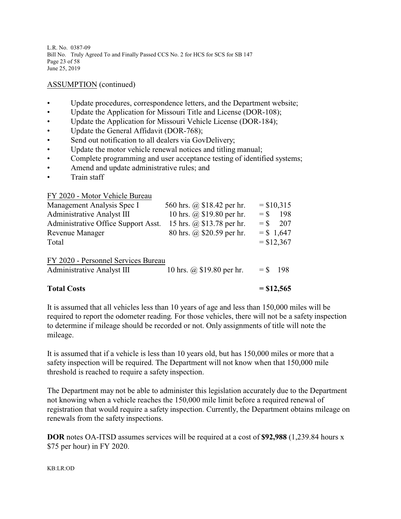L.R. No. 0387-09 Bill No. Truly Agreed To and Finally Passed CCS No. 2 for HCS for SCS for SB 147 Page 23 of 58 June 25, 2019

### ASSUMPTION (continued)

- Update procedures, correspondence letters, and the Department website;
- Update the Application for Missouri Title and License (DOR-108);
- Update the Application for Missouri Vehicle License (DOR-184);
- Update the General Affidavit (DOR-768);
- Send out notification to all dealers via GovDelivery;
- Update the motor vehicle renewal notices and titling manual;
- Complete programming and user acceptance testing of identified systems;
- Amend and update administrative rules; and
- Train staff

FY 2020 - Motor Vehicle Bureau

| <b>Total Costs</b>                                                |                            |            | $= $12,565$                  |
|-------------------------------------------------------------------|----------------------------|------------|------------------------------|
| FY 2020 - Personnel Services Bureau<br>Administrative Analyst III | 10 hrs. @ \$19.80 per hr.  | $=$ \$ 198 |                              |
| <b>Revenue Manager</b><br>Total                                   | 80 hrs. @ \$20.59 per hr.  |            | $=$ \$ 1,647<br>$=$ \$12,367 |
| Administrative Office Support Asst.                               | 15 hrs. @ \$13.78 per hr.  | $=$ \$     | 207                          |
| Administrative Analyst III                                        | 10 hrs. @ \$19.80 per hr.  | $=$ \$     | 198                          |
| Management Analysis Spec I                                        | 560 hrs. @ \$18.42 per hr. |            | $=$ \$10,315                 |

It is assumed that all vehicles less than 10 years of age and less than 150,000 miles will be required to report the odometer reading. For those vehicles, there will not be a safety inspection to determine if mileage should be recorded or not. Only assignments of title will note the mileage.

It is assumed that if a vehicle is less than 10 years old, but has 150,000 miles or more that a safety inspection will be required. The Department will not know when that 150,000 mile threshold is reached to require a safety inspection.

The Department may not be able to administer this legislation accurately due to the Department not knowing when a vehicle reaches the 150,000 mile limit before a required renewal of registration that would require a safety inspection. Currently, the Department obtains mileage on renewals from the safety inspections.

**DOR** notes OA-ITSD assumes services will be required at a cost of **\$92,988** (1,239.84 hours x \$75 per hour) in FY 2020.

#### KB:LR:OD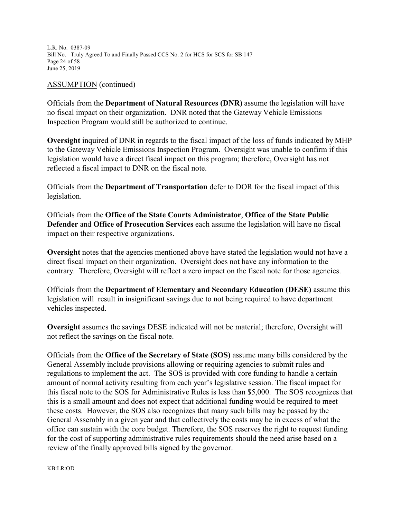L.R. No. 0387-09 Bill No. Truly Agreed To and Finally Passed CCS No. 2 for HCS for SCS for SB 147 Page 24 of 58 June 25, 2019

#### ASSUMPTION (continued)

Officials from the **Department of Natural Resources (DNR)** assume the legislation will have no fiscal impact on their organization. DNR noted that the Gateway Vehicle Emissions Inspection Program would still be authorized to continue.

**Oversight** inquired of DNR in regards to the fiscal impact of the loss of funds indicated by MHP to the Gateway Vehicle Emissions Inspection Program. Oversight was unable to confirm if this legislation would have a direct fiscal impact on this program; therefore, Oversight has not reflected a fiscal impact to DNR on the fiscal note.

Officials from the **Department of Transportation** defer to DOR for the fiscal impact of this legislation.

Officials from the **Office of the State Courts Administrator**, **Office of the State Public Defender** and **Office of Prosecution Services** each assume the legislation will have no fiscal impact on their respective organizations.

**Oversight** notes that the agencies mentioned above have stated the legislation would not have a direct fiscal impact on their organization. Oversight does not have any information to the contrary. Therefore, Oversight will reflect a zero impact on the fiscal note for those agencies.

Officials from the **Department of Elementary and Secondary Education (DESE)** assume this legislation will result in insignificant savings due to not being required to have department vehicles inspected.

**Oversight** assumes the savings DESE indicated will not be material; therefore, Oversight will not reflect the savings on the fiscal note.

Officials from the **Office of the Secretary of State (SOS)** assume many bills considered by the General Assembly include provisions allowing or requiring agencies to submit rules and regulations to implement the act. The SOS is provided with core funding to handle a certain amount of normal activity resulting from each year's legislative session. The fiscal impact for this fiscal note to the SOS for Administrative Rules is less than \$5,000. The SOS recognizes that this is a small amount and does not expect that additional funding would be required to meet these costs. However, the SOS also recognizes that many such bills may be passed by the General Assembly in a given year and that collectively the costs may be in excess of what the office can sustain with the core budget. Therefore, the SOS reserves the right to request funding for the cost of supporting administrative rules requirements should the need arise based on a review of the finally approved bills signed by the governor.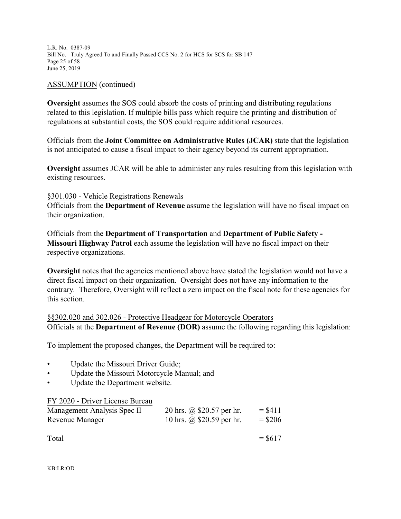L.R. No. 0387-09 Bill No. Truly Agreed To and Finally Passed CCS No. 2 for HCS for SCS for SB 147 Page 25 of 58 June 25, 2019

### ASSUMPTION (continued)

**Oversight** assumes the SOS could absorb the costs of printing and distributing regulations related to this legislation. If multiple bills pass which require the printing and distribution of regulations at substantial costs, the SOS could require additional resources.

Officials from the **Joint Committee on Administrative Rules (JCAR)** state that the legislation is not anticipated to cause a fiscal impact to their agency beyond its current appropriation.

**Oversight** assumes JCAR will be able to administer any rules resulting from this legislation with existing resources.

### §301.030 - Vehicle Registrations Renewals

Officials from the **Department of Revenue** assume the legislation will have no fiscal impact on their organization.

Officials from the **Department of Transportation** and **Department of Public Safety - Missouri Highway Patrol** each assume the legislation will have no fiscal impact on their respective organizations.

**Oversight** notes that the agencies mentioned above have stated the legislation would not have a direct fiscal impact on their organization. Oversight does not have any information to the contrary. Therefore, Oversight will reflect a zero impact on the fiscal note for these agencies for this section.

§§302.020 and 302.026 - Protective Headgear for Motorcycle Operators Officials at the **Department of Revenue (DOR)** assume the following regarding this legislation:

To implement the proposed changes, the Department will be required to:

- Update the Missouri Driver Guide;
- Update the Missouri Motorcycle Manual; and
- Update the Department website.

FY 2020 - Driver License Bureau

| Management Analysis Spec II | 20 hrs. @ \$20.57 per hr.        | $= $411$  |
|-----------------------------|----------------------------------|-----------|
| Revenue Manager             | 10 hrs. $\omega$ \$20.59 per hr. | $=$ \$206 |

| Total | $=$ \$617 |
|-------|-----------|
|       |           |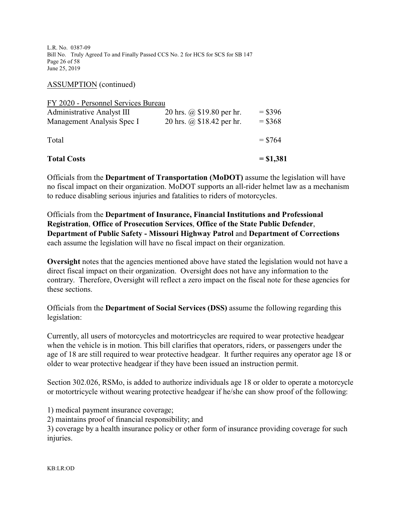L.R. No. 0387-09 Bill No. Truly Agreed To and Finally Passed CCS No. 2 for HCS for SCS for SB 147 Page 26 of 58 June 25, 2019

ASSUMPTION (continued)

| <b>Total Costs</b>                  |                           | $= $1,381$ |
|-------------------------------------|---------------------------|------------|
| Total                               |                           | $=$ \$764  |
| Management Analysis Spec I          | 20 hrs. @ \$18.42 per hr. | $=$ \$368  |
| <b>Administrative Analyst III</b>   | 20 hrs. @ \$19.80 per hr. | $=$ \$396  |
| FY 2020 - Personnel Services Bureau |                           |            |

Officials from the **Department of Transportation (MoDOT)** assume the legislation will have no fiscal impact on their organization. MoDOT supports an all-rider helmet law as a mechanism to reduce disabling serious injuries and fatalities to riders of motorcycles.

Officials from the **Department of Insurance, Financial Institutions and Professional Registration**, **Office of Prosecution Services**, **Office of the State Public Defender**, **Department of Public Safety - Missouri Highway Patrol** and **Department of Corrections** each assume the legislation will have no fiscal impact on their organization.

**Oversight** notes that the agencies mentioned above have stated the legislation would not have a direct fiscal impact on their organization. Oversight does not have any information to the contrary. Therefore, Oversight will reflect a zero impact on the fiscal note for these agencies for these sections.

Officials from the **Department of Social Services (DSS)** assume the following regarding this legislation:

Currently, all users of motorcycles and motortricycles are required to wear protective headgear when the vehicle is in motion. This bill clarifies that operators, riders, or passengers under the age of 18 are still required to wear protective headgear. It further requires any operator age 18 or older to wear protective headgear if they have been issued an instruction permit.

Section 302.026, RSMo, is added to authorize individuals age 18 or older to operate a motorcycle or motortricycle without wearing protective headgear if he/she can show proof of the following:

1) medical payment insurance coverage;

2) maintains proof of financial responsibility; and

3) coverage by a health insurance policy or other form of insurance providing coverage for such injuries.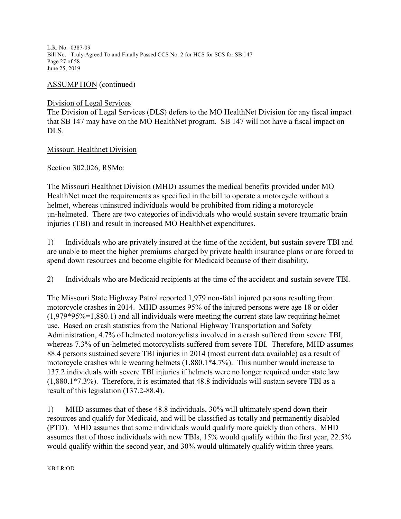L.R. No. 0387-09 Bill No. Truly Agreed To and Finally Passed CCS No. 2 for HCS for SCS for SB 147 Page 27 of 58 June 25, 2019

ASSUMPTION (continued)

### Division of Legal Services

The Division of Legal Services (DLS) defers to the MO HealthNet Division for any fiscal impact that SB 147 may have on the MO HealthNet program. SB 147 will not have a fiscal impact on DLS.

### Missouri Healthnet Division

Section 302.026, RSMo:

The Missouri Healthnet Division (MHD) assumes the medical benefits provided under MO HealthNet meet the requirements as specified in the bill to operate a motorcycle without a helmet, whereas uninsured individuals would be prohibited from riding a motorcycle un-helmeted. There are two categories of individuals who would sustain severe traumatic brain injuries (TBI) and result in increased MO HealthNet expenditures.

1) Individuals who are privately insured at the time of the accident, but sustain severe TBI and are unable to meet the higher premiums charged by private health insurance plans or are forced to spend down resources and become eligible for Medicaid because of their disability.

2) Individuals who are Medicaid recipients at the time of the accident and sustain severe TBI.

The Missouri State Highway Patrol reported 1,979 non-fatal injured persons resulting from motorcycle crashes in 2014. MHD assumes 95% of the injured persons were age 18 or older  $(1,979*95\% = 1,880.1)$  and all individuals were meeting the current state law requiring helmet use. Based on crash statistics from the National Highway Transportation and Safety Administration, 4.7% of helmeted motorcyclists involved in a crash suffered from severe TBI, whereas 7.3% of un-helmeted motorcyclists suffered from severe TBI. Therefore, MHD assumes 88.4 persons sustained severe TBI injuries in 2014 (most current data available) as a result of motorcycle crashes while wearing helmets (1,880.1\*4.7%). This number would increase to 137.2 individuals with severe TBI injuries if helmets were no longer required under state law (1,880.1\*7.3%). Therefore, it is estimated that 48.8 individuals will sustain severe TBI as a result of this legislation (137.2-88.4).

1) MHD assumes that of these 48.8 individuals, 30% will ultimately spend down their resources and qualify for Medicaid, and will be classified as totally and permanently disabled (PTD). MHD assumes that some individuals would qualify more quickly than others. MHD assumes that of those individuals with new TBIs, 15% would qualify within the first year, 22.5% would qualify within the second year, and 30% would ultimately qualify within three years.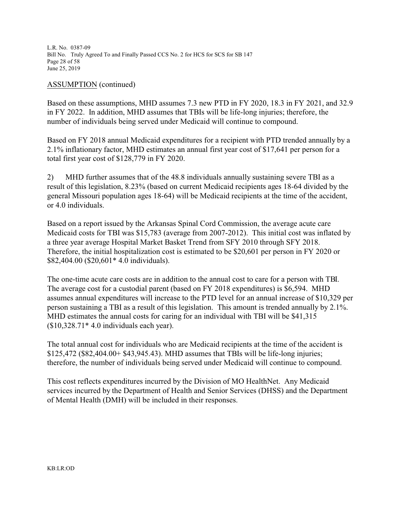L.R. No. 0387-09 Bill No. Truly Agreed To and Finally Passed CCS No. 2 for HCS for SCS for SB 147 Page 28 of 58 June 25, 2019

### ASSUMPTION (continued)

Based on these assumptions, MHD assumes 7.3 new PTD in FY 2020, 18.3 in FY 2021, and 32.9 in FY 2022. In addition, MHD assumes that TBIs will be life-long injuries; therefore, the number of individuals being served under Medicaid will continue to compound.

Based on FY 2018 annual Medicaid expenditures for a recipient with PTD trended annually by a 2.1% inflationary factor, MHD estimates an annual first year cost of \$17,641 per person for a total first year cost of \$128,779 in FY 2020.

2) MHD further assumes that of the 48.8 individuals annually sustaining severe TBI as a result of this legislation, 8.23% (based on current Medicaid recipients ages 18-64 divided by the general Missouri population ages 18-64) will be Medicaid recipients at the time of the accident, or 4.0 individuals.

Based on a report issued by the Arkansas Spinal Cord Commission, the average acute care Medicaid costs for TBI was \$15,783 (average from 2007-2012). This initial cost was inflated by a three year average Hospital Market Basket Trend from SFY 2010 through SFY 2018. Therefore, the initial hospitalization cost is estimated to be \$20,601 per person in FY 2020 or \$82,404.00 (\$20,601\* 4.0 individuals).

The one-time acute care costs are in addition to the annual cost to care for a person with TBI. The average cost for a custodial parent (based on FY 2018 expenditures) is \$6,594. MHD assumes annual expenditures will increase to the PTD level for an annual increase of \$10,329 per person sustaining a TBI as a result of this legislation. This amount is trended annually by 2.1%. MHD estimates the annual costs for caring for an individual with TBI will be \$41,315  $$10,328.71*4.0$  individuals each year).

The total annual cost for individuals who are Medicaid recipients at the time of the accident is \$125,472 (\$82,404.00+ \$43,945.43). MHD assumes that TBIs will be life-long injuries; therefore, the number of individuals being served under Medicaid will continue to compound.

This cost reflects expenditures incurred by the Division of MO HealthNet. Any Medicaid services incurred by the Department of Health and Senior Services (DHSS) and the Department of Mental Health (DMH) will be included in their responses.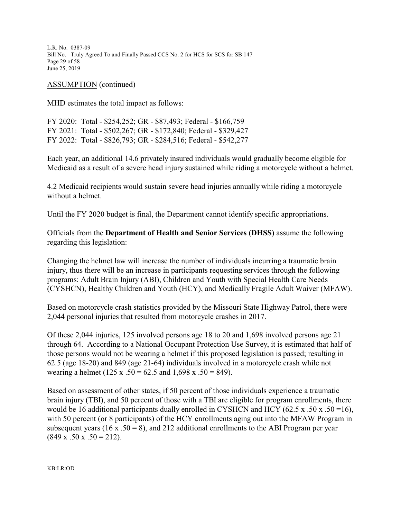L.R. No. 0387-09 Bill No. Truly Agreed To and Finally Passed CCS No. 2 for HCS for SCS for SB 147 Page 29 of 58 June 25, 2019

ASSUMPTION (continued)

MHD estimates the total impact as follows:

FY 2020: Total - \$254,252; GR - \$87,493; Federal - \$166,759 FY 2021: Total - \$502,267; GR - \$172,840; Federal - \$329,427 FY 2022: Total - \$826,793; GR - \$284,516; Federal - \$542,277

Each year, an additional 14.6 privately insured individuals would gradually become eligible for Medicaid as a result of a severe head injury sustained while riding a motorcycle without a helmet.

4.2 Medicaid recipients would sustain severe head injuries annually while riding a motorcycle without a helmet.

Until the FY 2020 budget is final, the Department cannot identify specific appropriations.

Officials from the **Department of Health and Senior Services (DHSS)** assume the following regarding this legislation:

Changing the helmet law will increase the number of individuals incurring a traumatic brain injury, thus there will be an increase in participants requesting services through the following programs: Adult Brain Injury (ABI), Children and Youth with Special Health Care Needs (CYSHCN), Healthy Children and Youth (HCY), and Medically Fragile Adult Waiver (MFAW).

Based on motorcycle crash statistics provided by the Missouri State Highway Patrol, there were 2,044 personal injuries that resulted from motorcycle crashes in 2017.

Of these 2,044 injuries, 125 involved persons age 18 to 20 and 1,698 involved persons age 21 through 64. According to a National Occupant Protection Use Survey, it is estimated that half of those persons would not be wearing a helmet if this proposed legislation is passed; resulting in 62.5 (age 18-20) and 849 (age 21-64) individuals involved in a motorcycle crash while not wearing a helmet (125 x .50 = 62.5 and 1,698 x .50 = 849).

Based on assessment of other states, if 50 percent of those individuals experience a traumatic brain injury (TBI), and 50 percent of those with a TBI are eligible for program enrollments, there would be 16 additional participants dually enrolled in CYSHCN and HCY (62.5 x .50 x .50 = 16), with 50 percent (or 8 participants) of the HCY enrollments aging out into the MFAW Program in subsequent years (16 x  $.50 = 8$ ), and 212 additional enrollments to the ABI Program per year  $(849 \times .50 \times .50 = 212).$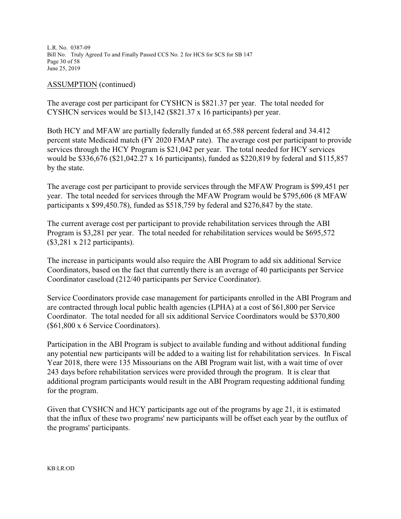L.R. No. 0387-09 Bill No. Truly Agreed To and Finally Passed CCS No. 2 for HCS for SCS for SB 147 Page 30 of 58 June 25, 2019

ASSUMPTION (continued)

The average cost per participant for CYSHCN is \$821.37 per year. The total needed for CYSHCN services would be \$13,142 (\$821.37 x 16 participants) per year.

Both HCY and MFAW are partially federally funded at 65.588 percent federal and 34.412 percent state Medicaid match (FY 2020 FMAP rate). The average cost per participant to provide services through the HCY Program is \$21,042 per year. The total needed for HCY services would be \$336,676 (\$21,042.27 x 16 participants), funded as \$220,819 by federal and \$115,857 by the state.

The average cost per participant to provide services through the MFAW Program is \$99,451 per year. The total needed for services through the MFAW Program would be \$795,606 (8 MFAW participants x \$99,450.78), funded as \$518,759 by federal and \$276,847 by the state.

The current average cost per participant to provide rehabilitation services through the ABI Program is \$3,281 per year. The total needed for rehabilitation services would be \$695,572 (\$3,281 x 212 participants).

The increase in participants would also require the ABI Program to add six additional Service Coordinators, based on the fact that currently there is an average of 40 participants per Service Coordinator caseload (212/40 participants per Service Coordinator).

Service Coordinators provide case management for participants enrolled in the ABI Program and are contracted through local public health agencies (LPHA) at a cost of \$61,800 per Service Coordinator. The total needed for all six additional Service Coordinators would be \$370,800 (\$61,800 x 6 Service Coordinators).

Participation in the ABI Program is subject to available funding and without additional funding any potential new participants will be added to a waiting list for rehabilitation services. In Fiscal Year 2018, there were 135 Missourians on the ABI Program wait list, with a wait time of over 243 days before rehabilitation services were provided through the program. It is clear that additional program participants would result in the ABI Program requesting additional funding for the program.

Given that CYSHCN and HCY participants age out of the programs by age 21, it is estimated that the influx of these two programs' new participants will be offset each year by the outflux of the programs' participants.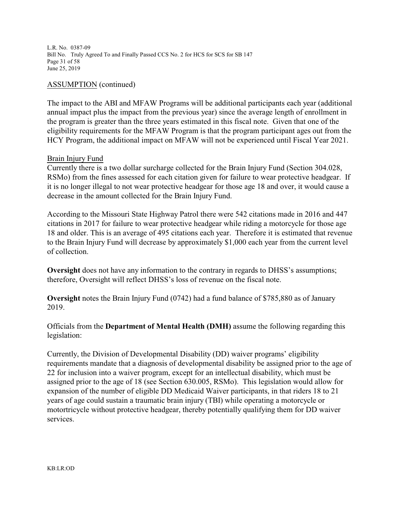L.R. No. 0387-09 Bill No. Truly Agreed To and Finally Passed CCS No. 2 for HCS for SCS for SB 147 Page 31 of 58 June 25, 2019

### ASSUMPTION (continued)

The impact to the ABI and MFAW Programs will be additional participants each year (additional annual impact plus the impact from the previous year) since the average length of enrollment in the program is greater than the three years estimated in this fiscal note. Given that one of the eligibility requirements for the MFAW Program is that the program participant ages out from the HCY Program, the additional impact on MFAW will not be experienced until Fiscal Year 2021.

### Brain Injury Fund

Currently there is a two dollar surcharge collected for the Brain Injury Fund (Section 304.028, RSMo) from the fines assessed for each citation given for failure to wear protective headgear. If it is no longer illegal to not wear protective headgear for those age 18 and over, it would cause a decrease in the amount collected for the Brain Injury Fund.

According to the Missouri State Highway Patrol there were 542 citations made in 2016 and 447 citations in 2017 for failure to wear protective headgear while riding a motorcycle for those age 18 and older. This is an average of 495 citations each year. Therefore it is estimated that revenue to the Brain Injury Fund will decrease by approximately \$1,000 each year from the current level of collection.

**Oversight** does not have any information to the contrary in regards to DHSS's assumptions; therefore, Oversight will reflect DHSS's loss of revenue on the fiscal note.

**Oversight** notes the Brain Injury Fund (0742) had a fund balance of \$785,880 as of January 2019.

Officials from the **Department of Mental Health (DMH)** assume the following regarding this legislation:

Currently, the Division of Developmental Disability (DD) waiver programs' eligibility requirements mandate that a diagnosis of developmental disability be assigned prior to the age of 22 for inclusion into a waiver program, except for an intellectual disability, which must be assigned prior to the age of 18 (see Section 630.005, RSMo). This legislation would allow for expansion of the number of eligible DD Medicaid Waiver participants, in that riders 18 to 21 years of age could sustain a traumatic brain injury (TBI) while operating a motorcycle or motortricycle without protective headgear, thereby potentially qualifying them for DD waiver services.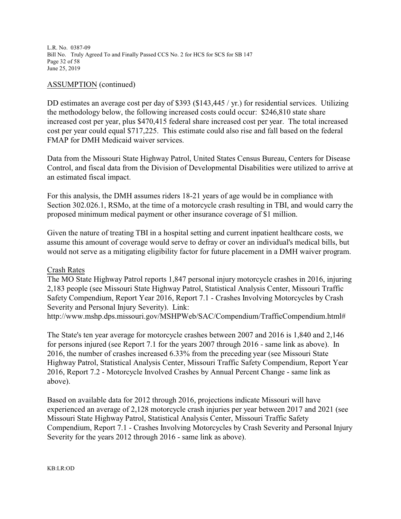L.R. No. 0387-09 Bill No. Truly Agreed To and Finally Passed CCS No. 2 for HCS for SCS for SB 147 Page 32 of 58 June 25, 2019

### ASSUMPTION (continued)

DD estimates an average cost per day of \$393 (\$143,445 / yr.) for residential services. Utilizing the methodology below, the following increased costs could occur: \$246,810 state share increased cost per year, plus \$470,415 federal share increased cost per year. The total increased cost per year could equal \$717,225. This estimate could also rise and fall based on the federal FMAP for DMH Medicaid waiver services.

Data from the Missouri State Highway Patrol, United States Census Bureau, Centers for Disease Control, and fiscal data from the Division of Developmental Disabilities were utilized to arrive at an estimated fiscal impact.

For this analysis, the DMH assumes riders 18-21 years of age would be in compliance with Section 302.026.1, RSMo, at the time of a motorcycle crash resulting in TBI, and would carry the proposed minimum medical payment or other insurance coverage of \$1 million.

Given the nature of treating TBI in a hospital setting and current inpatient healthcare costs, we assume this amount of coverage would serve to defray or cover an individual's medical bills, but would not serve as a mitigating eligibility factor for future placement in a DMH waiver program.

### Crash Rates

The MO State Highway Patrol reports 1,847 personal injury motorcycle crashes in 2016, injuring 2,183 people (see Missouri State Highway Patrol, Statistical Analysis Center, Missouri Traffic Safety Compendium, Report Year 2016, Report 7.1 - Crashes Involving Motorcycles by Crash Severity and Personal Injury Severity). Link:

http://www.mshp.dps.missouri.gov/MSHPWeb/SAC/Compendium/TrafficCompendium.html#

The State's ten year average for motorcycle crashes between 2007 and 2016 is 1,840 and 2,146 for persons injured (see Report 7.1 for the years 2007 through 2016 - same link as above). In 2016, the number of crashes increased 6.33% from the preceding year (see Missouri State Highway Patrol, Statistical Analysis Center, Missouri Traffic Safety Compendium, Report Year 2016, Report 7.2 - Motorcycle Involved Crashes by Annual Percent Change - same link as above).

Based on available data for 2012 through 2016, projections indicate Missouri will have experienced an average of 2,128 motorcycle crash injuries per year between 2017 and 2021 (see Missouri State Highway Patrol, Statistical Analysis Center, Missouri Traffic Safety Compendium, Report 7.1 - Crashes Involving Motorcycles by Crash Severity and Personal Injury Severity for the years 2012 through 2016 - same link as above).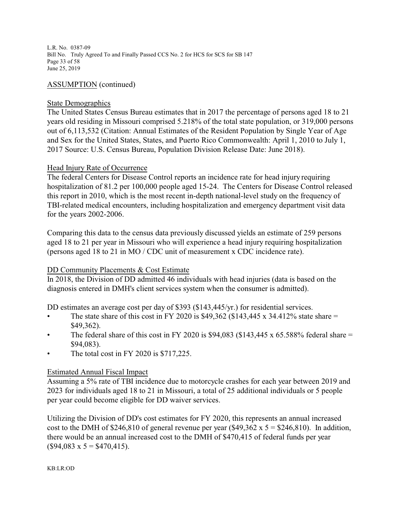L.R. No. 0387-09 Bill No. Truly Agreed To and Finally Passed CCS No. 2 for HCS for SCS for SB 147 Page 33 of 58 June 25, 2019

### ASSUMPTION (continued)

### State Demographics

The United States Census Bureau estimates that in 2017 the percentage of persons aged 18 to 21 years old residing in Missouri comprised 5.218% of the total state population, or 319,000 persons out of 6,113,532 (Citation: Annual Estimates of the Resident Population by Single Year of Age and Sex for the United States, States, and Puerto Rico Commonwealth: April 1, 2010 to July 1, 2017 Source: U.S. Census Bureau, Population Division Release Date: June 2018).

### Head Injury Rate of Occurrence

The federal Centers for Disease Control reports an incidence rate for head injury requiring hospitalization of 81.2 per 100,000 people aged 15-24. The Centers for Disease Control released this report in 2010, which is the most recent in-depth national-level study on the frequency of TBI-related medical encounters, including hospitalization and emergency department visit data for the years 2002-2006.

Comparing this data to the census data previously discussed yields an estimate of 259 persons aged 18 to 21 per year in Missouri who will experience a head injury requiring hospitalization (persons aged 18 to 21 in MO / CDC unit of measurement x CDC incidence rate).

### DD Community Placements & Cost Estimate

In 2018, the Division of DD admitted 46 individuals with head injuries (data is based on the diagnosis entered in DMH's client services system when the consumer is admitted).

DD estimates an average cost per day of \$393 (\$143,445/yr.) for residential services.

- The state share of this cost in FY 2020 is \$49,362 (\$143,445 x 34.412% state share  $=$ \$49,362).
- The federal share of this cost in FY 2020 is \$94,083 (\$143,445 x 65.588% federal share  $=$ \$94,083).
- The total cost in FY 2020 is \$717,225.

### Estimated Annual Fiscal Impact

Assuming a 5% rate of TBI incidence due to motorcycle crashes for each year between 2019 and 2023 for individuals aged 18 to 21 in Missouri, a total of 25 additional individuals or 5 people per year could become eligible for DD waiver services.

Utilizing the Division of DD's cost estimates for FY 2020, this represents an annual increased cost to the DMH of \$246,810 of general revenue per year (\$49,362 x  $5 = $246,810$ ). In addition, there would be an annual increased cost to the DMH of \$470,415 of federal funds per year  $($94,083 \times 5 = $470,415).$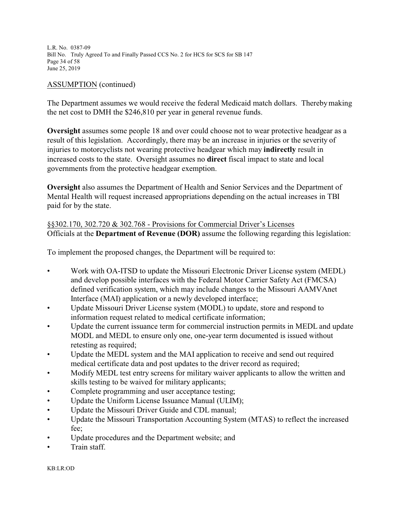L.R. No. 0387-09 Bill No. Truly Agreed To and Finally Passed CCS No. 2 for HCS for SCS for SB 147 Page 34 of 58 June 25, 2019

### ASSUMPTION (continued)

The Department assumes we would receive the federal Medicaid match dollars. Thereby making the net cost to DMH the \$246,810 per year in general revenue funds.

**Oversight** assumes some people 18 and over could choose not to wear protective headgear as a result of this legislation. Accordingly, there may be an increase in injuries or the severity of injuries to motorcyclists not wearing protective headgear which may **indirectly** result in increased costs to the state. Oversight assumes no **direct** fiscal impact to state and local governments from the protective headgear exemption.

**Oversight** also assumes the Department of Health and Senior Services and the Department of Mental Health will request increased appropriations depending on the actual increases in TBI paid for by the state.

§§302.170, 302.720 & 302.768 - Provisions for Commercial Driver's Licenses Officials at the **Department of Revenue (DOR)** assume the following regarding this legislation:

To implement the proposed changes, the Department will be required to:

- Work with OA-ITSD to update the Missouri Electronic Driver License system (MEDL) and develop possible interfaces with the Federal Motor Carrier Safety Act (FMCSA) defined verification system, which may include changes to the Missouri AAMVAnet Interface (MAI) application or a newly developed interface;
- Update Missouri Driver License system (MODL) to update, store and respond to information request related to medical certificate information;
- Update the current issuance term for commercial instruction permits in MEDL and update MODL and MEDL to ensure only one, one-year term documented is issued without retesting as required;
- Update the MEDL system and the MAI application to receive and send out required medical certificate data and post updates to the driver record as required;
- Modify MEDL test entry screens for military waiver applicants to allow the written and skills testing to be waived for military applicants;
- Complete programming and user acceptance testing;
- Update the Uniform License Issuance Manual (ULIM);
- Update the Missouri Driver Guide and CDL manual;
- Update the Missouri Transportation Accounting System (MTAS) to reflect the increased fee;
- Update procedures and the Department website; and
- Train staff.

KB:LR:OD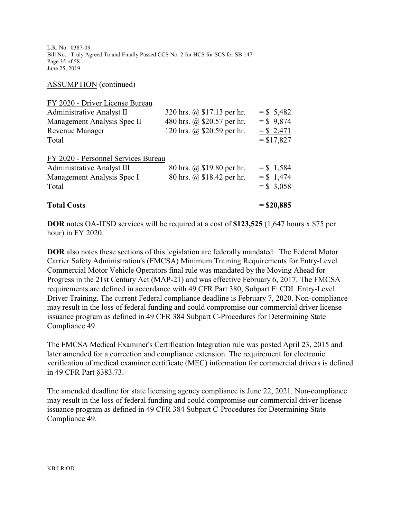L.R. No. 0387-09 Bill No. Truly Agreed To and Finally Passed CCS No. 2 for HCS for SCS for SB 147 Page 35 of 58 June 25, 2019

ASSUMPTION (continued)

| FY 2020 - Driver License Bureau     |                            |              |
|-------------------------------------|----------------------------|--------------|
| Administrative Analyst II           | 320 hrs. @ \$17.13 per hr. | $=$ \$ 5,482 |
| Management Analysis Spec II         | 480 hrs. @ \$20.57 per hr. | $=$ \$ 9,874 |
| Revenue Manager                     | 120 hrs. @ \$20.59 per hr. | $= $2,471$   |
| Total                               |                            | $= $17,827$  |
| FY 2020 - Personnel Services Bureau |                            |              |
| <b>Administrative Analyst III</b>   | 80 hrs. @ \$19.80 per hr.  | $=$ \$ 1,584 |
| Management Analysis Spec I          | 80 hrs. @ \$18.42 per hr.  | $= $1,474$   |
| Total                               |                            | $=$ \$ 3,058 |
| <b>Total Costs</b>                  |                            | $=$ \$20,885 |

**DOR** notes OA-ITSD services will be required at a cost of **\$123,525** (1,647 hours x \$75 per hour) in FY 2020.

**DOR** also notes these sections of this legislation are federally mandated. The Federal Motor Carrier Safety Administration's (FMCSA) Minimum Training Requirements for Entry-Level Commercial Motor Vehicle Operators final rule was mandated by the Moving Ahead for Progress in the 21st Century Act (MAP-21) and was effective February 6, 2017. The FMCSA requirements are defined in accordance with 49 CFR Part 380, Subpart F: CDL Entry-Level Driver Training. The current Federal compliance deadline is February 7, 2020. Non-compliance may result in the loss of federal funding and could compromise our commercial driver license issuance program as defined in 49 CFR 384 Subpart C-Procedures for Determining State Compliance 49.

The FMCSA Medical Examiner's Certification Integration rule was posted April 23, 2015 and later amended for a correction and compliance extension. The requirement for electronic verification of medical examiner certificate (MEC) information for commercial drivers is defined in 49 CFR Part §383.73.

The amended deadline for state licensing agency compliance is June 22, 2021. Non-compliance may result in the loss of federal funding and could compromise our commercial driver license issuance program as defined in 49 CFR 384 Subpart C-Procedures for Determining State Compliance 49.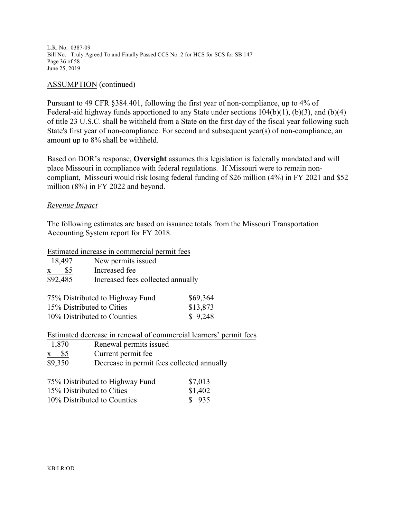L.R. No. 0387-09 Bill No. Truly Agreed To and Finally Passed CCS No. 2 for HCS for SCS for SB 147 Page 36 of 58 June 25, 2019

### ASSUMPTION (continued)

Pursuant to 49 CFR §384.401, following the first year of non-compliance, up to 4% of Federal-aid highway funds apportioned to any State under sections 104(b)(1), (b)(3), and (b)(4) of title 23 U.S.C. shall be withheld from a State on the first day of the fiscal year following such State's first year of non-compliance. For second and subsequent year(s) of non-compliance, an amount up to 8% shall be withheld.

Based on DOR's response, **Oversight** assumes this legislation is federally mandated and will place Missouri in compliance with federal regulations. If Missouri were to remain noncompliant, Missouri would risk losing federal funding of \$26 million (4%) in FY 2021 and \$52 million (8%) in FY 2022 and beyond.

### *Revenue Impact*

The following estimates are based on issuance totals from the Missouri Transportation Accounting System report for FY 2018.

Estimated increase in commercial permit fees

| 18,497              | New permits issued                |          |
|---------------------|-----------------------------------|----------|
| \$5<br>$\mathbf{X}$ | Increased fee                     |          |
| \$92,485            | Increased fees collected annually |          |
|                     | 75% Distributed to Highway Fund   | \$69,364 |
|                     | 15% Distributed to Cities         | \$13,873 |

10% Distributed to Counties \$ 9,248

Estimated decrease in renewal of commercial learners' permit fees

| 1,870   | Renewal permits issued                     |
|---------|--------------------------------------------|
| x \$5   | Current permit fee                         |
| \$9,350 | Decrease in permit fees collected annually |

| 75% Distributed to Highway Fund | \$7,013 |
|---------------------------------|---------|
| 15% Distributed to Cities       | \$1,402 |
| 10% Distributed to Counties     | \$935   |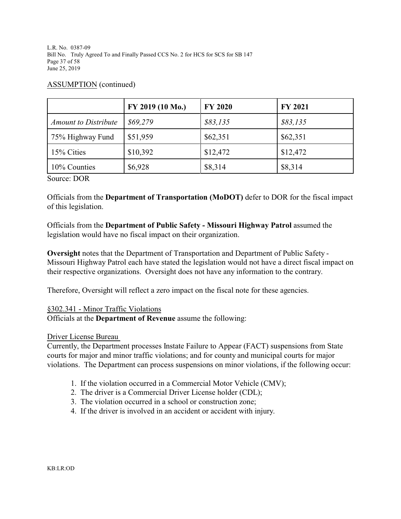L.R. No. 0387-09 Bill No. Truly Agreed To and Finally Passed CCS No. 2 for HCS for SCS for SB 147 Page 37 of 58 June 25, 2019

|                             | FY 2019 (10 Mo.) | <b>FY 2020</b> | <b>FY 2021</b> |
|-----------------------------|------------------|----------------|----------------|
| <b>Amount to Distribute</b> | \$69,279         | \$83,135       | \$83,135       |
| 75% Highway Fund            | \$51,959         | \$62,351       | \$62,351       |
| 15% Cities                  | \$10,392         | \$12,472       | \$12,472       |
| 10% Counties                | \$6,928          | \$8,314        | \$8,314        |

### ASSUMPTION (continued)

Source: DOR

Officials from the **Department of Transportation (MoDOT)** defer to DOR for the fiscal impact of this legislation.

Officials from the **Department of Public Safety - Missouri Highway Patrol** assumed the legislation would have no fiscal impact on their organization.

**Oversight** notes that the Department of Transportation and Department of Public Safety - Missouri Highway Patrol each have stated the legislation would not have a direct fiscal impact on their respective organizations. Oversight does not have any information to the contrary.

Therefore, Oversight will reflect a zero impact on the fiscal note for these agencies.

### §302.341 - Minor Traffic Violations

Officials at the **Department of Revenue** assume the following:

### Driver License Bureau

Currently, the Department processes Instate Failure to Appear (FACT) suspensions from State courts for major and minor traffic violations; and for county and municipal courts for major violations. The Department can process suspensions on minor violations, if the following occur:

- 1. If the violation occurred in a Commercial Motor Vehicle (CMV);
- 2. The driver is a Commercial Driver License holder (CDL);
- 3. The violation occurred in a school or construction zone;
- 4. If the driver is involved in an accident or accident with injury.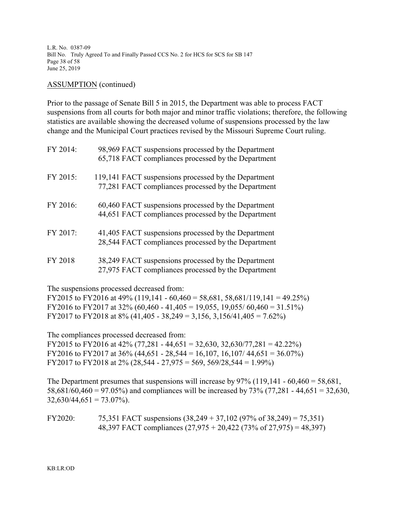L.R. No. 0387-09 Bill No. Truly Agreed To and Finally Passed CCS No. 2 for HCS for SCS for SB 147 Page 38 of 58 June 25, 2019

#### ASSUMPTION (continued)

Prior to the passage of Senate Bill 5 in 2015, the Department was able to process FACT suspensions from all courts for both major and minor traffic violations; therefore, the following statistics are available showing the decreased volume of suspensions processed by the law change and the Municipal Court practices revised by the Missouri Supreme Court ruling.

| FY 2014: | 98,969 FACT suspensions processed by the Department<br>65,718 FACT compliances processed by the Department  |
|----------|-------------------------------------------------------------------------------------------------------------|
| FY 2015: | 119,141 FACT suspensions processed by the Department<br>77,281 FACT compliances processed by the Department |
| FY 2016: | 60,460 FACT suspensions processed by the Department<br>44,651 FACT compliances processed by the Department  |
| FY 2017: | 41,405 FACT suspensions processed by the Department<br>28,544 FACT compliances processed by the Department  |
| FY 2018  | 38,249 FACT suspensions processed by the Department<br>27,975 FACT compliances processed by the Department  |

The suspensions processed decreased from:

FY2015 to FY2016 at 49% (119,141 - 60,460 = 58,681, 58,681/119,141 = 49.25%) FY2016 to FY2017 at 32% (60,460 - 41,405 = 19,055, 19,055/ 60,460 = 31.51%) FY2017 to FY2018 at 8% (41,405 - 38,249 = 3,156, 3,156/41,405 = 7.62%)

The compliances processed decreased from:

FY2015 to FY2016 at 42% (77,281 - 44,651 = 32,630, 32,630/77,281 = 42.22%) FY2016 to FY2017 at 36% (44,651 - 28,544 = 16,107, 16,107/ 44,651 = 36.07%) FY2017 to FY2018 at  $2\%$  (28,544 - 27,975 = 569, 569/28,544 = 1.99%)

The Department presumes that suspensions will increase by  $97\%$  (119,141 - 60,460 = 58,681, 58,681/60,460 = 97.05%) and compliances will be increased by  $73\%$  (77,281 - 44,651 = 32,630,  $32,630/44,651 = 73.07\%$ ).

FY2020: 75,351 FACT suspensions  $(38,249 + 37,102)$   $(97\% \text{ of } 38,249) = 75,351)$ 48,397 FACT compliances (27,975 + 20,422 (73% of 27,975) = 48,397)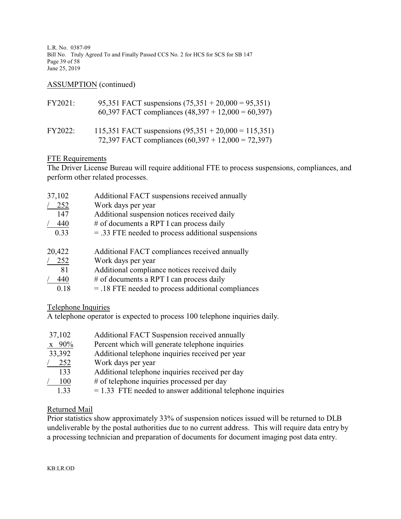L.R. No. 0387-09 Bill No. Truly Agreed To and Finally Passed CCS No. 2 for HCS for SCS for SB 147 Page 39 of 58 June 25, 2019

### ASSUMPTION (continued)

| FY2021:        | 95,351 FACT suspensions $(75,351 + 20,000 = 95,351)$<br>60,397 FACT compliances $(48,397 + 12,000 = 60,397)$   |
|----------------|----------------------------------------------------------------------------------------------------------------|
| <b>FY2022:</b> | 115,351 FACT suspensions $(95,351 + 20,000 = 115,351)$<br>72,397 FACT compliances $(60,397 + 12,000 = 72,397)$ |

### FTE Requirements

The Driver License Bureau will require additional FTE to process suspensions, compliances, and perform other related processes.

| 37,102 | Additional FACT suspensions received annually        |
|--------|------------------------------------------------------|
| 252    | Work days per year                                   |
| 147    | Additional suspension notices received daily         |
| 440    | # of documents a RPT I can process daily             |
| 0.33   | $=$ .33 FTE needed to process additional suspensions |
| 20,422 | Additional FACT compliances received annually        |
| 252    | Work days per year                                   |
| 81     | Additional compliance notices received daily         |
| 440    | # of documents a RPT I can process daily             |
| 0.18   | $=$ .18 FTE needed to process additional compliances |

Telephone Inquiries

A telephone operator is expected to process 100 telephone inquiries daily.

| 37,102             | Additional FACT Suspension received annually                 |
|--------------------|--------------------------------------------------------------|
| $x \frac{90\%}{x}$ | Percent which will generate telephone inquiries              |
| 33,392             | Additional telephone inquiries received per year             |
| 252                | Work days per year                                           |
| 133                | Additional telephone inquiries received per day              |
| 100                | # of telephone inquiries processed per day                   |
| 1.33               | $= 1.33$ FTE needed to answer additional telephone inquiries |

### Returned Mail

Prior statistics show approximately 33% of suspension notices issued will be returned to DLB undeliverable by the postal authorities due to no current address. This will require data entry by a processing technician and preparation of documents for document imaging post data entry.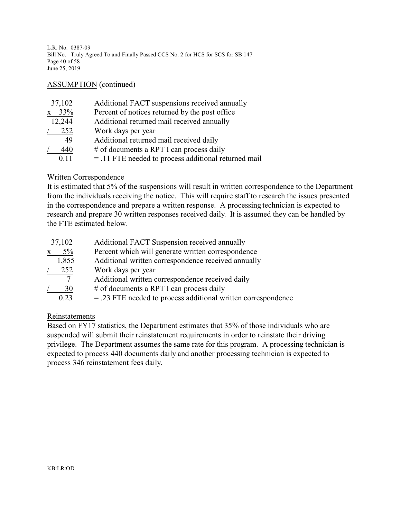L.R. No. 0387-09 Bill No. Truly Agreed To and Finally Passed CCS No. 2 for HCS for SCS for SB 147 Page 40 of 58 June 25, 2019

### ASSUMPTION (continued)

| 37,102              | Additional FACT suspensions received annually          |
|---------------------|--------------------------------------------------------|
| 33%<br>$\mathbf{X}$ | Percent of notices returned by the post office         |
| 12,244              | Additional returned mail received annually             |
| 252                 | Work days per year                                     |
| 49                  | Additional returned mail received daily                |
| 440                 | # of documents a RPT I can process daily               |
| 0.11                | $=$ .11 FTE needed to process additional returned mail |

### Written Correspondence

It is estimated that 5% of the suspensions will result in written correspondence to the Department from the individuals receiving the notice. This will require staff to research the issues presented in the correspondence and prepare a written response. A processing technician is expected to research and prepare 30 written responses received daily. It is assumed they can be handled by the FTE estimated below.

| 37,102                | Additional FACT Suspension received annually                    |
|-----------------------|-----------------------------------------------------------------|
| $5\%$<br>$\mathbf{X}$ | Percent which will generate written correspondence              |
| 1,855                 | Additional written correspondence received annually             |
| 252                   | Work days per year                                              |
| 7                     | Additional written correspondence received daily                |
| 30                    | # of documents a RPT I can process daily                        |
| 0.23                  | $=$ .23 FTE needed to process additional written correspondence |

### Reinstatements

Based on FY17 statistics, the Department estimates that 35% of those individuals who are suspended will submit their reinstatement requirements in order to reinstate their driving privilege. The Department assumes the same rate for this program. A processing technician is expected to process 440 documents daily and another processing technician is expected to process 346 reinstatement fees daily.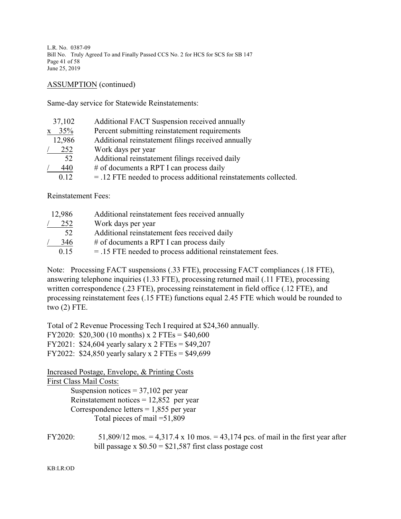L.R. No. 0387-09 Bill No. Truly Agreed To and Finally Passed CCS No. 2 for HCS for SCS for SB 147 Page 41 of 58 June 25, 2019

ASSUMPTION (continued)

Same-day service for Statewide Reinstatements:

| 37,102              | Additional FACT Suspension received annually                       |
|---------------------|--------------------------------------------------------------------|
| 35%<br>$\mathbf{X}$ | Percent submitting reinstatement requirements                      |
| 12,986              | Additional reinstatement filings received annually                 |
| 252                 | Work days per year                                                 |
| 52                  | Additional reinstatement filings received daily                    |
| 440                 | # of documents a RPT I can process daily                           |
| 0.12                | $=$ .12 FTE needed to process additional reinstatements collected. |

Reinstatement Fees:

| 12,986 | Additional reinstatement fees received annually              |
|--------|--------------------------------------------------------------|
| 252    | Work days per year                                           |
| 52     | Additional reinstatement fees received daily                 |
| 346    | # of documents a RPT I can process daily                     |
| 0.15   | $=$ .15 FTE needed to process additional reinstatement fees. |

Note: Processing FACT suspensions (.33 FTE), processing FACT compliances (.18 FTE), answering telephone inquiries (1.33 FTE), processing returned mail (.11 FTE), processing written correspondence (.23 FTE), processing reinstatement in field office (.12 FTE), and processing reinstatement fees (.15 FTE) functions equal 2.45 FTE which would be rounded to two (2) FTE.

Total of 2 Revenue Processing Tech I required at \$24,360 annually. FY2020: \$20,300 (10 months) x 2 FTEs = \$40,600 FY2021: \$24,604 yearly salary x 2 FTEs = \$49,207

FY2022: \$24,850 yearly salary x 2 FTEs = \$49,699

Increased Postage, Envelope, & Printing Costs

First Class Mail Costs: Suspension notices  $= 37,102$  per year Reinstatement notices  $= 12,852$  per year Correspondence letters  $= 1,855$  per year Total pieces of mail =51,809

FY2020: 51,809/12 mos. = 4,317.4 x 10 mos. = 43,174 pcs. of mail in the first year after bill passage x  $$0.50 = $21,587$  first class postage cost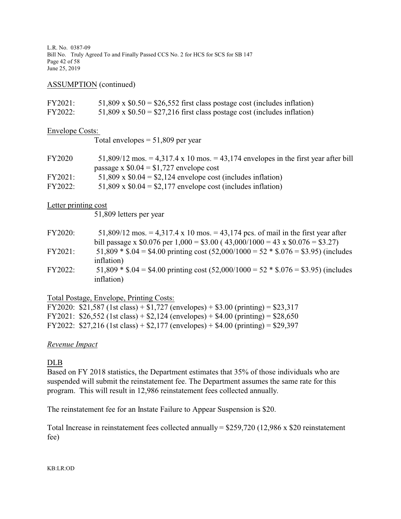L.R. No. 0387-09 Bill No. Truly Agreed To and Finally Passed CCS No. 2 for HCS for SCS for SB 147 Page 42 of 58 June 25, 2019

### ASSUMPTION (continued)

| FY2021:                | $51,809 \times $0.50 = $26,552$ first class postage cost (includes inflation)                                                                                       |
|------------------------|---------------------------------------------------------------------------------------------------------------------------------------------------------------------|
| FY2022:                | 51,809 x $$0.50 = $27,216$ first class postage cost (includes inflation)                                                                                            |
| <b>Envelope Costs:</b> |                                                                                                                                                                     |
|                        | Total envelopes $= 51,809$ per year                                                                                                                                 |
| FY2020                 | 51,809/12 mos. = 4,317.4 x 10 mos. = 43,174 envelopes in the first year after bill<br>passage x $$0.04 = $1,727$ envelope cost                                      |
| FY2021:                | 51,809 x $$0.04 = $2,124$ envelope cost (includes inflation)                                                                                                        |
| FY2022:                | 51,809 x $$0.04 = $2,177$ envelope cost (includes inflation)                                                                                                        |
| Letter printing cost   |                                                                                                                                                                     |
|                        | 51,809 letters per year                                                                                                                                             |
| FY2020:                | 51,809/12 mos. = 4,317.4 x 10 mos. = 43,174 pcs. of mail in the first year after<br>bill passage x \$0.076 per 1,000 = \$3.00 (43,000/1000 = 43 x \$0.076 = \$3.27) |

- FY2021: 51,809  $*$  \$.04 = \$4.00 printing cost (52,000/1000 = 52  $*$  \$.076 = \$3.95) (includes inflation)
- FY2022:  $51,809 * $.04 = $4.00$  printing cost  $(52,000/1000 = 52 * $.076 = $3.95)$  (includes inflation)

### Total Postage, Envelope, Printing Costs:

| FY2020: \$21,587 (1st class) + \$1,727 (envelopes) + \$3.00 (printing) = \$23,317 |
|-----------------------------------------------------------------------------------|
| FY2021: \$26,552 (1st class) + \$2,124 (envelopes) + \$4.00 (printing) = \$28,650 |
| FY2022: \$27,216 (1st class) + \$2,177 (envelopes) + \$4.00 (printing) = \$29,397 |

### *Revenue Impact*

### DLB

Based on FY 2018 statistics, the Department estimates that 35% of those individuals who are suspended will submit the reinstatement fee. The Department assumes the same rate for this program. This will result in 12,986 reinstatement fees collected annually.

The reinstatement fee for an Instate Failure to Appear Suspension is \$20.

Total Increase in reinstatement fees collected annually = \$259,720 (12,986 x \$20 reinstatement fee)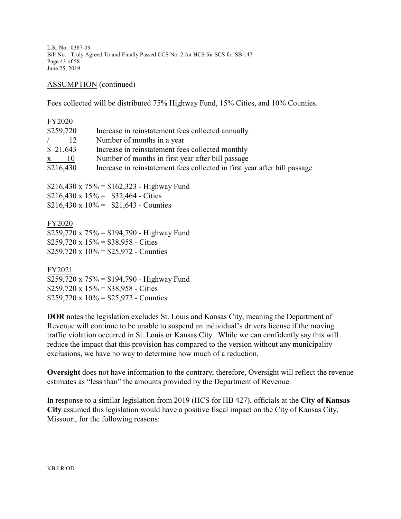L.R. No. 0387-09 Bill No. Truly Agreed To and Finally Passed CCS No. 2 for HCS for SCS for SB 147 Page 43 of 58 June 25, 2019

ASSUMPTION (continued)

Fees collected will be distributed 75% Highway Fund, 15% Cities, and 10% Counties.

| <b>FY2020</b><br>\$259,720<br>$\frac{12}{ }$<br>\$21,643<br>$x \t 10$ | Increase in reinstatement fees collected annually<br>Number of months in a year<br>Increase in reinstatement fees collected monthly<br>Number of months in first year after bill passage |
|-----------------------------------------------------------------------|------------------------------------------------------------------------------------------------------------------------------------------------------------------------------------------|
| \$216,430                                                             | Increase in reinstatement fees collected in first year after bill passage<br>\$216,430 x $75\%$ = \$162,323 - Highway Fund<br>\$216,430 x $15\% =$ \$32,464 - Cities                     |
|                                                                       | $$216,430 \times 10\% = $21,643$ - Counties                                                                                                                                              |

FY2020  $$259,720 \times 75\% = $194,790 - Highway Fund$  $$259,720 \times 15\% = $38,958$  - Cities \$259,720 x  $10\% =$  \$25,972 - Counties

FY2021  $$259,720 \times 75\% = $194,790 - Highway Fund$  $$259,720 \times 15\% = $38,958$  - Cities  $$259,720 \times 10\% = $25,972$  - Counties

**DOR** notes the legislation excludes St. Louis and Kansas City, meaning the Department of Revenue will continue to be unable to suspend an individual's drivers license if the moving traffic violation occurred in St. Louis or Kansas City. While we can confidently say this will reduce the impact that this provision has compared to the version without any municipality exclusions, we have no way to determine how much of a reduction.

**Oversight** does not have information to the contrary; therefore, Oversight will reflect the revenue estimates as "less than" the amounts provided by the Department of Revenue.

In response to a similar legislation from 2019 (HCS for HB 427), officials at the **City of Kansas City** assumed this legislation would have a positive fiscal impact on the City of Kansas City, Missouri, for the following reasons: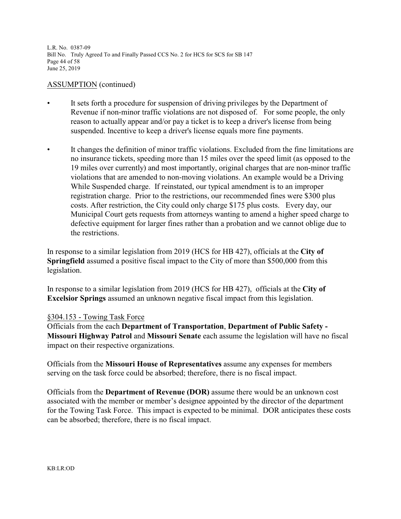L.R. No. 0387-09 Bill No. Truly Agreed To and Finally Passed CCS No. 2 for HCS for SCS for SB 147 Page 44 of 58 June 25, 2019

### ASSUMPTION (continued)

- It sets forth a procedure for suspension of driving privileges by the Department of Revenue if non-minor traffic violations are not disposed of. For some people, the only reason to actually appear and/or pay a ticket is to keep a driver's license from being suspended. Incentive to keep a driver's license equals more fine payments.
- It changes the definition of minor traffic violations. Excluded from the fine limitations are no insurance tickets, speeding more than 15 miles over the speed limit (as opposed to the 19 miles over currently) and most importantly, original charges that are non-minor traffic violations that are amended to non-moving violations. An example would be a Driving While Suspended charge. If reinstated, our typical amendment is to an improper registration charge. Prior to the restrictions, our recommended fines were \$300 plus costs. After restriction, the City could only charge \$175 plus costs. Every day, our Municipal Court gets requests from attorneys wanting to amend a higher speed charge to defective equipment for larger fines rather than a probation and we cannot oblige due to the restrictions.

In response to a similar legislation from 2019 (HCS for HB 427), officials at the **City of Springfield** assumed a positive fiscal impact to the City of more than \$500,000 from this legislation.

In response to a similar legislation from 2019 (HCS for HB 427), officials at the **City of Excelsior Springs** assumed an unknown negative fiscal impact from this legislation.

### §304.153 - Towing Task Force

Officials from the each **Department of Transportation**, **Department of Public Safety - Missouri Highway Patrol** and **Missouri Senate** each assume the legislation will have no fiscal impact on their respective organizations.

Officials from the **Missouri House of Representatives** assume any expenses for members serving on the task force could be absorbed; therefore, there is no fiscal impact.

Officials from the **Department of Revenue (DOR)** assume there would be an unknown cost associated with the member or member's designee appointed by the director of the department for the Towing Task Force. This impact is expected to be minimal. DOR anticipates these costs can be absorbed; therefore, there is no fiscal impact.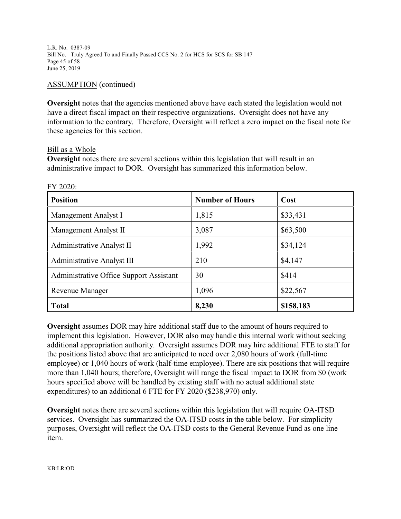L.R. No. 0387-09 Bill No. Truly Agreed To and Finally Passed CCS No. 2 for HCS for SCS for SB 147 Page 45 of 58 June 25, 2019

### ASSUMPTION (continued)

**Oversight** notes that the agencies mentioned above have each stated the legislation would not have a direct fiscal impact on their respective organizations. Oversight does not have any information to the contrary. Therefore, Oversight will reflect a zero impact on the fiscal note for these agencies for this section.

### Bill as a Whole

FY 2020:

**Oversight** notes there are several sections within this legislation that will result in an administrative impact to DOR. Oversight has summarized this information below.

| <b>Position</b>                         | <b>Number of Hours</b> | Cost      |
|-----------------------------------------|------------------------|-----------|
| Management Analyst I                    | 1,815                  | \$33,431  |
| Management Analyst II                   | 3,087                  | \$63,500  |
| Administrative Analyst II               | 1,992                  | \$34,124  |
| Administrative Analyst III              | 210                    | \$4,147   |
| Administrative Office Support Assistant | 30                     | \$414     |
| Revenue Manager                         | 1,096                  | \$22,567  |
| <b>Total</b>                            | 8,230                  | \$158,183 |

**Oversight** assumes DOR may hire additional staff due to the amount of hours required to implement this legislation. However, DOR also may handle this internal work without seeking additional appropriation authority. Oversight assumes DOR may hire additional FTE to staff for the positions listed above that are anticipated to need over 2,080 hours of work (full-time employee) or 1,040 hours of work (half-time employee). There are six positions that will require more than 1,040 hours; therefore, Oversight will range the fiscal impact to DOR from \$0 (work hours specified above will be handled by existing staff with no actual additional state expenditures) to an additional 6 FTE for FY 2020 (\$238,970) only.

**Oversight** notes there are several sections within this legislation that will require OA-ITSD services. Oversight has summarized the OA-ITSD costs in the table below. For simplicity purposes, Oversight will reflect the OA-ITSD costs to the General Revenue Fund as one line item.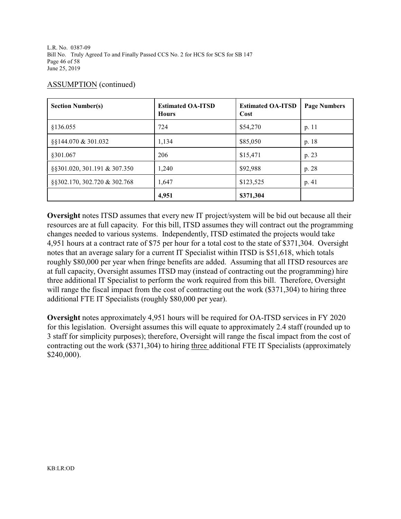L.R. No. 0387-09 Bill No. Truly Agreed To and Finally Passed CCS No. 2 for HCS for SCS for SB 147 Page 46 of 58 June 25, 2019

### ASSUMPTION (continued)

| <b>Section Number(s)</b>     | <b>Estimated OA-ITSD</b><br><b>Hours</b> | <b>Estimated OA-ITSD</b><br>Cost | <b>Page Numbers</b> |
|------------------------------|------------------------------------------|----------------------------------|---------------------|
| §136.055                     | 724                                      | \$54,270                         | p. 11               |
| §§144.070 & 301.032          | 1,134                                    | \$85,050                         | p. 18               |
| §301.067                     | 206                                      | \$15,471                         | p. 23               |
| §§301.020, 301.191 & 307.350 | 1,240                                    | \$92,988                         | p. 28               |
| §§302.170, 302.720 & 302.768 | 1,647                                    | \$123,525                        | p. 41               |
|                              | 4,951                                    | \$371,304                        |                     |

**Oversight** notes ITSD assumes that every new IT project/system will be bid out because all their resources are at full capacity. For this bill, ITSD assumes they will contract out the programming changes needed to various systems. Independently, ITSD estimated the projects would take 4,951 hours at a contract rate of \$75 per hour for a total cost to the state of \$371,304. Oversight notes that an average salary for a current IT Specialist within ITSD is \$51,618, which totals roughly \$80,000 per year when fringe benefits are added. Assuming that all ITSD resources are at full capacity, Oversight assumes ITSD may (instead of contracting out the programming) hire three additional IT Specialist to perform the work required from this bill. Therefore, Oversight will range the fiscal impact from the cost of contracting out the work (\$371,304) to hiring three additional FTE IT Specialists (roughly \$80,000 per year).

**Oversight** notes approximately 4,951 hours will be required for OA-ITSD services in FY 2020 for this legislation. Oversight assumes this will equate to approximately 2.4 staff (rounded up to 3 staff for simplicity purposes); therefore, Oversight will range the fiscal impact from the cost of contracting out the work (\$371,304) to hiring three additional FTE IT Specialists (approximately \$240,000).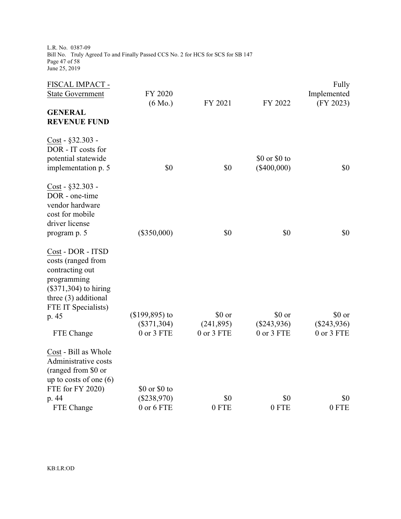L.R. No. 0387-09 Bill No. Truly Agreed To and Finally Passed CCS No. 2 for HCS for SCS for SB 147 Page 47 of 58 June 25, 2019

| FISCAL IMPACT -<br><b>State Government</b>                                                                                                          | FY 2020<br>$(6 \text{ Mo.})$ | FY 2021                  | FY 2022                        | Fully<br>Implemented<br>(FY 2023) |
|-----------------------------------------------------------------------------------------------------------------------------------------------------|------------------------------|--------------------------|--------------------------------|-----------------------------------|
| <b>GENERAL</b><br><b>REVENUE FUND</b>                                                                                                               |                              |                          |                                |                                   |
| Cost - §32.303 -<br>DOR - IT costs for<br>potential statewide<br>implementation p. 5                                                                | \$0                          | \$0                      | \$0 or \$0 to<br>$(\$400,000)$ | \$0                               |
| Cost - §32.303 -<br>DOR - one-time<br>vendor hardware<br>cost for mobile<br>driver license<br>program p. 5                                          | $(\$350,000)$                | \$0                      | \$0                            | \$0                               |
| Cost - DOR - ITSD<br>costs (ranged from<br>contracting out<br>programming<br>(\$371,304) to hiring<br>three $(3)$ additional<br>FTE IT Specialists) |                              |                          |                                |                                   |
| p. 45                                                                                                                                               | $($199,895)$ to              | \$0 or                   | \$0 or                         | \$0 or                            |
| FTE Change                                                                                                                                          | $(\$371,304)$<br>0 or 3 FTE  | (241, 895)<br>0 or 3 FTE | $(\$243,936)$<br>0 or 3 FTE    | $(\$243,936)$<br>0 or 3 FTE       |
| Cost - Bill as Whole<br>Administrative costs<br>(ranged from \$0 or<br>up to costs of one $(6)$<br>FTE for FY 2020)                                 | \$0 or \$0 to                |                          |                                |                                   |
| p. 44                                                                                                                                               | $(\$238,970)$                | \$0                      | \$0                            | \$0                               |
| FTE Change                                                                                                                                          | 0 or 6 FTE                   | 0 FTE                    | 0 FTE                          | 0 FTE                             |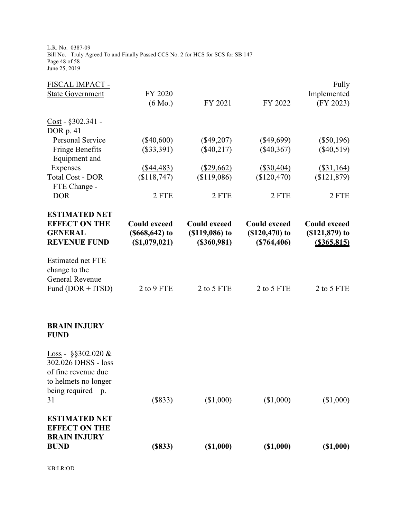L.R. No. 0387-09 Bill No. Truly Agreed To and Finally Passed CCS No. 2 for HCS for SCS for SB 147 Page 48 of 58 June 25, 2019

| FISCAL IMPACT -                                |                     |                     |                     | Fully               |
|------------------------------------------------|---------------------|---------------------|---------------------|---------------------|
| <b>State Government</b>                        | FY 2020             |                     |                     | Implemented         |
|                                                | $(6 \text{ Mo.})$   | FY 2021             | FY 2022             | (FY 2023)           |
| $Cost - $302.341 -$                            |                     |                     |                     |                     |
| DOR p. 41                                      |                     |                     |                     |                     |
| Personal Service                               | $(\$40,600)$        | $(\$49,207)$        | $(\$49,699)$        | $(\$50,196)$        |
| Fringe Benefits<br>Equipment and               | $(\$33,391)$        | $(\$40,217)$        | $(\$40,367)$        | $(\$40,519)$        |
| Expenses                                       | $(\$44,483)$        | $(\$29,662)$        | $(\$30,404)$        | $(\$31,164)$        |
| <b>Total Cost - DOR</b><br>FTE Change -        | (\$118,747)         | (\$119,086)         | (\$120,470)         | (\$121,879)         |
| <b>DOR</b>                                     | 2 FTE               | 2 FTE               | 2 FTE               | 2 FTE               |
| <b>ESTIMATED NET</b>                           |                     |                     |                     |                     |
| <b>EFFECT ON THE</b>                           | <b>Could exceed</b> | <b>Could exceed</b> | <b>Could exceed</b> | <b>Could exceed</b> |
| <b>GENERAL</b>                                 | $($668, 642)$ to    | $( $119,086)$ to    | $($120,470)$ to     | $( $121, 879)$ to   |
| <b>REVENUE FUND</b>                            | $($ \$1,079,021)    | $($ \$360,981)      | ( \$764,406)        | $($ \$365,815)      |
| <b>Estimated net FTE</b><br>change to the      |                     |                     |                     |                     |
| <b>General Revenue</b>                         | 2 to 9 FTE          | 2 to 5 FTE          | 2 to 5 FTE          |                     |
| Fund $(DOR + ITSD)$                            |                     |                     |                     | 2 to 5 FTE          |
|                                                |                     |                     |                     |                     |
| <b>BRAIN INJURY</b><br><b>FUND</b>             |                     |                     |                     |                     |
| Loss - $\S$ \$302.020 &<br>302.026 DHSS - loss |                     |                     |                     |                     |
| of fine revenue due<br>to helmets no longer    |                     |                     |                     |                     |
| being required<br>p.                           |                     |                     |                     |                     |
| 31                                             | $($ \$833)          | (\$1,000)           | (\$1,000)           | ( \$1,000)          |
| <b>ESTIMATED NET</b><br><b>EFFECT ON THE</b>   |                     |                     |                     |                     |
| <b>BRAIN INJURY</b>                            |                     |                     |                     |                     |
| <b>BUND</b>                                    | $($ \$833 $)$       | ( \$1,000)          | ( \$1,000)          | ( \$1,000)          |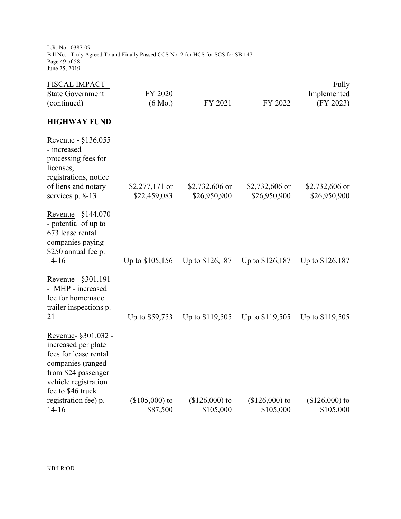L.R. No. 0387-09 Bill No. Truly Agreed To and Finally Passed CCS No. 2 for HCS for SCS for SB 147 Page 49 of 58 June 25, 2019

| FISCAL IMPACT -<br><b>State Government</b><br>(continued)                                                                                                    | FY 2020<br>$(6 \text{ Mo.})$   | FY 2021                        | FY 2022                        | Fully<br>Implemented<br>(FY 2023) |
|--------------------------------------------------------------------------------------------------------------------------------------------------------------|--------------------------------|--------------------------------|--------------------------------|-----------------------------------|
| <b>HIGHWAY FUND</b>                                                                                                                                          |                                |                                |                                |                                   |
| Revenue - §136.055<br>- increased<br>processing fees for<br>licenses,<br>registrations, notice<br>of liens and notary<br>services p. 8-13                    | \$2,277,171 or<br>\$22,459,083 | \$2,732,606 or<br>\$26,950,900 | \$2,732,606 or<br>\$26,950,900 | \$2,732,606 or<br>\$26,950,900    |
| Revenue - $§144.070$<br>- potential of up to<br>673 lease rental<br>companies paying<br>\$250 annual fee p.<br>$14 - 16$                                     | Up to \$105,156                | Up to \$126,187                | Up to \$126,187                | Up to \$126,187                   |
| Revenue - §301.191<br>- MHP - increased<br>fee for homemade<br>trailer inspections p.<br>21                                                                  | Up to \$59,753                 | Up to \$119,505                | Up to \$119,505                | Up to \$119,505                   |
| Revenue- §301.032 -<br>increased per plate<br>fees for lease rental<br>companies (ranged<br>from \$24 passenger<br>vehicle registration<br>fee to \$46 truck |                                |                                |                                |                                   |
| registration fee) p.<br>$14 - 16$                                                                                                                            | $($105,000)$ to<br>\$87,500    | $($126,000)$ to<br>\$105,000   | $($126,000)$ to<br>\$105,000   | $($126,000)$ to<br>\$105,000      |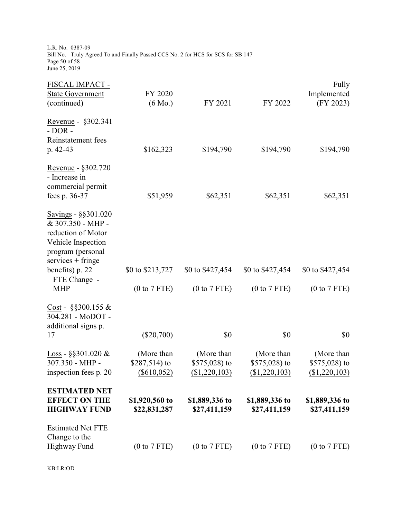L.R. No. 0387-09 Bill No. Truly Agreed To and Finally Passed CCS No. 2 for HCS for SCS for SB 147 Page 50 of 58 June 25, 2019

| FISCAL IMPACT -<br><b>State Government</b><br>(continued)                                                                         | FY 2020<br>$(6 \text{ Mo.})$               | FY 2021                                      | FY 2022                                         | Fully<br>Implemented<br>(FY 2023)               |
|-----------------------------------------------------------------------------------------------------------------------------------|--------------------------------------------|----------------------------------------------|-------------------------------------------------|-------------------------------------------------|
| Revenue - §302.341<br>$-$ DOR $-$<br>Reinstatement fees<br>p. 42-43                                                               | \$162,323                                  | \$194,790                                    | \$194,790                                       | \$194,790                                       |
| Revenue - §302.720<br>- Increase in<br>commercial permit<br>fees p. 36-37                                                         | \$51,959                                   | \$62,351                                     | \$62,351                                        | \$62,351                                        |
| Savings - §§301.020<br>& 307.350 - MHP -<br>reduction of Motor<br>Vehicle Inspection<br>program (personal<br>$s$ ervices + fringe |                                            |                                              |                                                 |                                                 |
| benefits) p. 22<br>FTE Change -                                                                                                   | \$0 to \$213,727                           | \$0 to \$427,454                             | \$0 to \$427,454                                | \$0 to \$427,454                                |
| <b>MHP</b>                                                                                                                        | (0 to 7 FTE)                               | (0 to 7 FTE)                                 | (0 to 7 FTE)                                    | (0 to 7 FTE)                                    |
| $Cost - \S\$ 300.155 &<br>304.281 - MoDOT -<br>additional signs p.<br>17                                                          | $(\$20,700)$                               | \$0                                          | \$0                                             | \$0                                             |
| $\frac{\text{Loss}}{\text{loss}}$ - §§301.020 &<br>307.350 - MHP -<br>inspection fees p. 20                                       | (More than<br>\$287,514) to<br>(\$610,052) | (More than<br>\$575,028) to<br>(\$1,220,103) | (More than<br>\$575,028) to<br>$($ \$1,220,103) | (More than<br>\$575,028) to<br>$($ \$1,220,103) |
| <b>ESTIMATED NET</b><br><b>EFFECT ON THE</b><br><b>HIGHWAY FUND</b>                                                               | \$1,920,560 to<br>\$22,831,287             | \$1,889,336 to<br>\$27,411,159               | \$1,889,336 to<br>\$27,411,159                  | \$1,889,336 to<br>\$27,411,159                  |
| <b>Estimated Net FTE</b><br>Change to the<br><b>Highway Fund</b>                                                                  | (0 to 7 FTE)                               | (0 to 7 FTE)                                 | (0 to 7 FTE)                                    | (0 to 7 FTE)                                    |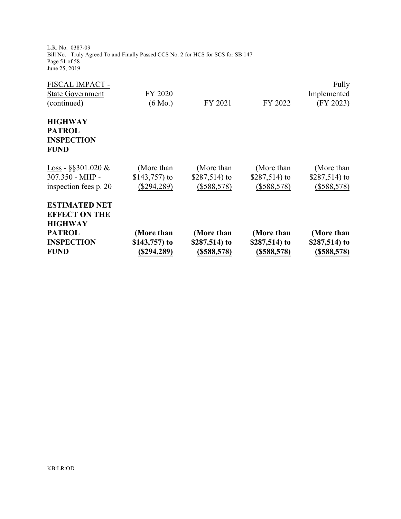L.R. No. 0387-09 Bill No. Truly Agreed To and Finally Passed CCS No. 2 for HCS for SCS for SB 147 Page 51 of 58 June 25, 2019

| <b>INSPECTION</b><br><b>FUND</b> | \$143,757) to<br>(\$294,289) | \$287,514) to<br>$($ \$588,578) | \$287,514) to<br>$(\$588,578)$ | \$287,514) to<br>$(\$588,578)$ |
|----------------------------------|------------------------------|---------------------------------|--------------------------------|--------------------------------|
| <b>PATROL</b>                    | (More than                   | (More than                      | (More than                     | (More than                     |
| <b>HIGHWAY</b>                   |                              |                                 |                                |                                |
| <b>EFFECT ON THE</b>             |                              |                                 |                                |                                |
| <b>ESTIMATED NET</b>             |                              |                                 |                                |                                |
| inspection fees p. 20            | $(\$294,289)$                | (\$588,578)                     | $(\$588,578)$                  | $(\$588,578)$                  |
| 307.350 - MHP -                  | \$143,757) to                | \$287,514) to                   | \$287,514) to                  | \$287,514) to                  |
| Loss - $\S$ \$301.020 &          | (More than                   | (More than                      | (More than                     | (More than)                    |
| <b>FUND</b>                      |                              |                                 |                                |                                |
| <b>INSPECTION</b>                |                              |                                 |                                |                                |
| <b>PATROL</b>                    |                              |                                 |                                |                                |
| <b>HIGHWAY</b>                   |                              |                                 |                                |                                |
|                                  |                              |                                 |                                |                                |
| (continued)                      | $(6 \text{ Mo.})$            | FY 2021                         | FY 2022                        | (FY 2023)                      |
| <b>State Government</b>          | FY 2020                      |                                 |                                | Implemented                    |
| FISCAL IMPACT -                  |                              |                                 |                                | Fully                          |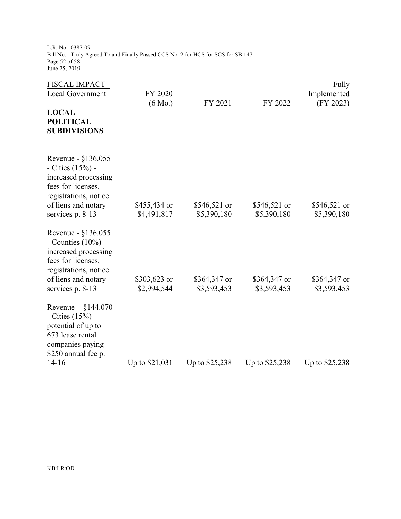L.R. No. 0387-09 Bill No. Truly Agreed To and Finally Passed CCS No. 2 for HCS for SCS for SB 147 Page 52 of 58 June 25, 2019

| FISCAL IMPACT -<br><b>Local Government</b><br><b>LOCAL</b><br><b>POLITICAL</b><br><b>SUBDIVISIONS</b>                                                         | FY 2020<br>$(6 \text{ Mo.})$ | FY 2021                      | FY 2022                      | Fully<br>Implemented<br>(FY 2023) |
|---------------------------------------------------------------------------------------------------------------------------------------------------------------|------------------------------|------------------------------|------------------------------|-----------------------------------|
| Revenue - §136.055<br>- Cities $(15%)$ -<br>increased processing<br>fees for licenses,<br>registrations, notice<br>of liens and notary<br>services p. 8-13    | \$455,434 or<br>\$4,491,817  | $$546,521$ or<br>\$5,390,180 | $$546,521$ or<br>\$5,390,180 | \$546,521 or<br>\$5,390,180       |
| Revenue - §136.055<br>- Counties $(10\%)$ -<br>increased processing<br>fees for licenses,<br>registrations, notice<br>of liens and notary<br>services p. 8-13 | \$303,623 or<br>\$2,994,544  | \$364,347 or<br>\$3,593,453  | \$364,347 or<br>\$3,593,453  | \$364,347 or<br>\$3,593,453       |
| Revenue - §144.070<br>- Cities $(15%)$ -<br>potential of up to<br>673 lease rental<br>companies paying<br>\$250 annual fee p.<br>$14 - 16$                    | Up to \$21,031               | Up to \$25,238               | Up to \$25,238               | Up to \$25,238                    |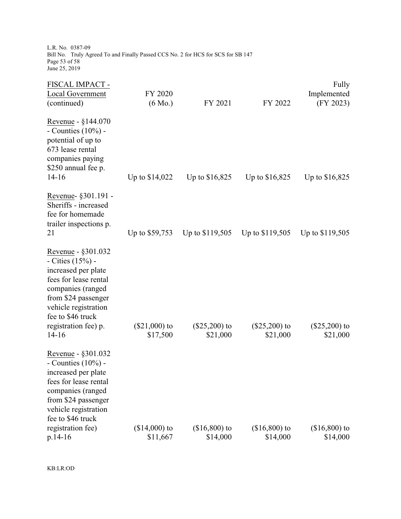L.R. No. 0387-09 Bill No. Truly Agreed To and Finally Passed CCS No. 2 for HCS for SCS for SB 147 Page 53 of 58 June 25, 2019

| FISCAL IMPACT -<br>Local Government<br>(continued)                                                                                                                                                                   | FY 2020<br>$(6 \text{ Mo.})$ | FY 2021                     | FY 2022                     | Fully<br>Implemented<br>(FY 2023) |
|----------------------------------------------------------------------------------------------------------------------------------------------------------------------------------------------------------------------|------------------------------|-----------------------------|-----------------------------|-----------------------------------|
| Revenue - §144.070<br>- Counties $(10\%)$ -<br>potential of up to<br>673 lease rental<br>companies paying<br>\$250 annual fee p.<br>$14 - 16$                                                                        | Up to \$14,022               | Up to \$16,825              | Up to \$16,825              | Up to \$16,825                    |
| Revenue- §301.191 -<br>Sheriffs - increased<br>fee for homemade<br>trailer inspections p.<br>21                                                                                                                      | Up to \$59,753               | Up to \$119,505             | Up to \$119,505             | Up to \$119,505                   |
| Revenue - §301.032<br>- Cities $(15%)$ -<br>increased per plate<br>fees for lease rental<br>companies (ranged<br>from \$24 passenger<br>vehicle registration<br>fee to \$46 truck<br>registration fee) p.<br>$14-16$ | $(\$21,000)$ to<br>\$17,500  | $(\$25,200)$ to<br>\$21,000 | $(\$25,200)$ to<br>\$21,000 | $(\$25,200)$ to<br>\$21,000       |
| Revenue - §301.032<br>- Counties $(10\%)$ -<br>increased per plate<br>fees for lease rental<br>companies (ranged<br>from \$24 passenger<br>vehicle registration<br>fee to \$46 truck                                 |                              |                             |                             |                                   |
| registration fee)<br>$p.14-16$                                                                                                                                                                                       | $($14,000)$ to<br>\$11,667   | $($16,800)$ to<br>\$14,000  | $($16,800)$ to<br>\$14,000  | $($16,800)$ to<br>\$14,000        |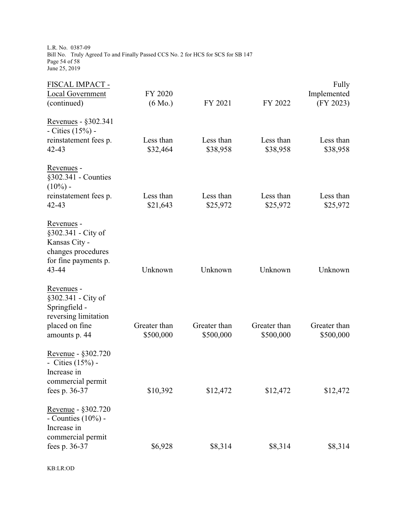L.R. No. 0387-09 Bill No. Truly Agreed To and Finally Passed CCS No. 2 for HCS for SCS for SB 147 Page 54 of 58 June 25, 2019

| FISCAL IMPACT -<br>Local Government<br>(continued)                                                           | FY 2020<br>$(6 \text{ Mo.})$ | FY 2021                   | FY 2022                   | Fully<br>Implemented<br>(FY 2023) |
|--------------------------------------------------------------------------------------------------------------|------------------------------|---------------------------|---------------------------|-----------------------------------|
| Revenues - §302.341<br>- Cities $(15%)$ -<br>reinstatement fees p.<br>$42 - 43$                              | Less than<br>\$32,464        | Less than<br>\$38,958     | Less than<br>\$38,958     | Less than<br>\$38,958             |
| Revenues -<br>§302.341 - Counties<br>$(10\%)$ -<br>reinstatement fees p.<br>42-43                            | Less than<br>\$21,643        | Less than<br>\$25,972     | Less than<br>\$25,972     | Less than<br>\$25,972             |
| Revenues -<br>§302.341 - City of<br>Kansas City -<br>changes procedures<br>for fine payments p.<br>43-44     | Unknown                      | Unknown                   | Unknown                   | Unknown                           |
| Revenues -<br>§302.341 - City of<br>Springfield -<br>reversing limitation<br>placed on fine<br>amounts p. 44 | Greater than<br>\$500,000    | Greater than<br>\$500,000 | Greater than<br>\$500,000 | Greater than<br>\$500,000         |
| Revenue - §302.720<br>- Cities $(15%)$ -<br>Increase in<br>commercial permit<br>fees p. 36-37                | \$10,392                     | \$12,472                  | \$12,472                  | \$12,472                          |
| Revenue - §302.720<br>- Counties $(10\%)$ -<br>Increase in<br>commercial permit<br>fees p. 36-37             | \$6,928                      | \$8,314                   | \$8,314                   | \$8,314                           |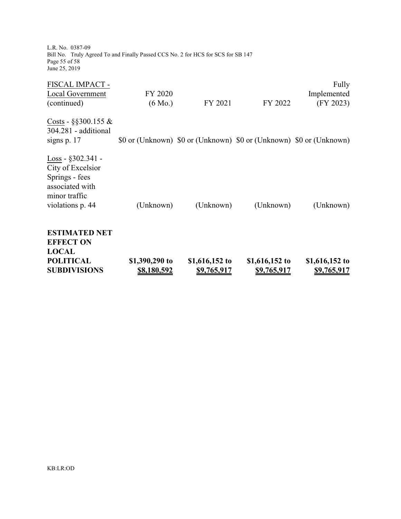| <b>ESTIMATED NET</b><br><b>EFFECT ON</b><br><b>LOCAL</b><br><b>POLITICAL</b><br><b>SUBDIVISIONS</b>                                    | \$1,390,290 to<br><u>\$8,180,592</u> | \$1,616,152 to<br><u>\$9,765,917</u> | \$1,616,152 to<br><u>\$9,765,917</u>                                | \$1,616,152 to<br><u>\$9,765,917</u> |
|----------------------------------------------------------------------------------------------------------------------------------------|--------------------------------------|--------------------------------------|---------------------------------------------------------------------|--------------------------------------|
| $Loss - $302.341 -$<br>City of Excelsior<br>Springs - fees<br>associated with<br>minor traffic<br>violations p. 44                     | (Unknown)                            | (Unknown)                            | (Unknown)                                                           | (Unknown)                            |
| Costs - $\S$ \$300.155 &<br>304.281 - additional<br>signs $p.17$                                                                       |                                      |                                      | \$0 or (Unknown) \$0 or (Unknown) \$0 or (Unknown) \$0 or (Unknown) |                                      |
| FISCAL IMPACT -<br><b>Local Government</b><br>(continued)                                                                              | FY 2020<br>$(6 \text{ Mo.})$         | FY 2021                              | FY 2022                                                             | Fully<br>Implemented<br>(FY 2023)    |
| L.R. No. 0387-09<br>Bill No. Truly Agreed To and Finally Passed CCS No. 2 for HCS for SCS for SB 147<br>Page 55 of 58<br>June 25, 2019 |                                      |                                      |                                                                     |                                      |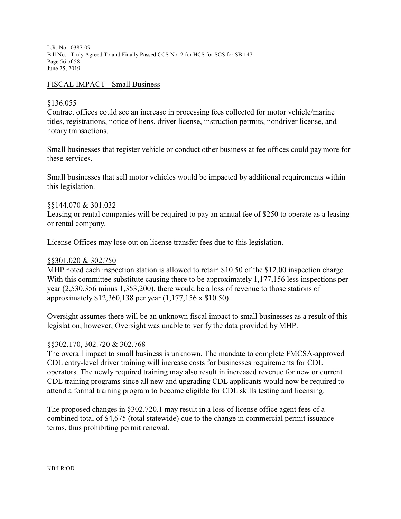L.R. No. 0387-09 Bill No. Truly Agreed To and Finally Passed CCS No. 2 for HCS for SCS for SB 147 Page 56 of 58 June 25, 2019

#### FISCAL IMPACT - Small Business

### §136.055

Contract offices could see an increase in processing fees collected for motor vehicle/marine titles, registrations, notice of liens, driver license, instruction permits, nondriver license, and notary transactions.

Small businesses that register vehicle or conduct other business at fee offices could pay more for these services.

Small businesses that sell motor vehicles would be impacted by additional requirements within this legislation.

### §§144.070 & 301.032

Leasing or rental companies will be required to pay an annual fee of \$250 to operate as a leasing or rental company.

License Offices may lose out on license transfer fees due to this legislation.

#### §§301.020 & 302.750

MHP noted each inspection station is allowed to retain \$10.50 of the \$12.00 inspection charge. With this committee substitute causing there to be approximately 1,177,156 less inspections per year (2,530,356 minus 1,353,200), there would be a loss of revenue to those stations of approximately \$12,360,138 per year (1,177,156 x \$10.50).

Oversight assumes there will be an unknown fiscal impact to small businesses as a result of this legislation; however, Oversight was unable to verify the data provided by MHP.

### §§302.170, 302.720 & 302.768

The overall impact to small business is unknown. The mandate to complete FMCSA-approved CDL entry-level driver training will increase costs for businesses requirements for CDL operators. The newly required training may also result in increased revenue for new or current CDL training programs since all new and upgrading CDL applicants would now be required to attend a formal training program to become eligible for CDL skills testing and licensing.

The proposed changes in §302.720.1 may result in a loss of license office agent fees of a combined total of \$4,675 (total statewide) due to the change in commercial permit issuance terms, thus prohibiting permit renewal.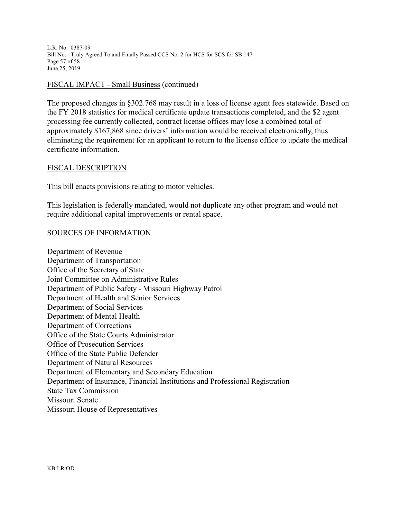L.R. No. 0387-09 Bill No. Truly Agreed To and Finally Passed CCS No. 2 for HCS for SCS for SB 147 Page 57 of 58 June 25, 2019

### FISCAL IMPACT - Small Business (continued)

The proposed changes in §302.768 may result in a loss of license agent fees statewide. Based on the FY 2018 statistics for medical certificate update transactions completed, and the \$2 agent processing fee currently collected, contract license offices may lose a combined total of approximately \$167,868 since drivers' information would be received electronically, thus eliminating the requirement for an applicant to return to the license office to update the medical certificate information.

### FISCAL DESCRIPTION

This bill enacts provisions relating to motor vehicles.

This legislation is federally mandated, would not duplicate any other program and would not require additional capital improvements or rental space.

### SOURCES OF INFORMATION

Department of Revenue Department of Transportation Office of the Secretary of State Joint Committee on Administrative Rules Department of Public Safety - Missouri Highway Patrol Department of Health and Senior Services Department of Social Services Department of Mental Health Department of Corrections Office of the State Courts Administrator Office of Prosecution Services Office of the State Public Defender Department of Natural Resources Department of Elementary and Secondary Education Department of Insurance, Financial Institutions and Professional Registration State Tax Commission Missouri Senate Missouri House of Representatives